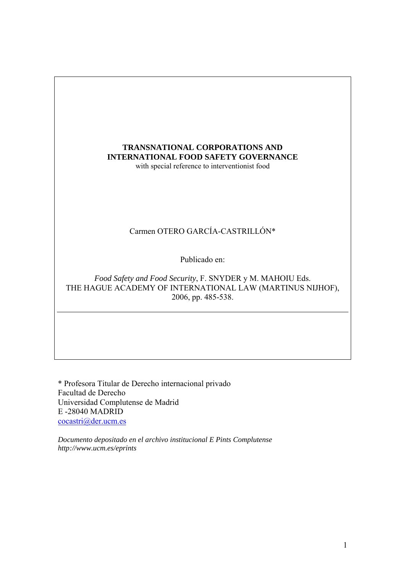# **TRANSNATIONAL CORPORATIONS AND INTERNATIONAL FOOD SAFETY GOVERNANCE**  with special reference to interventionist food Carmen OTERO GARCÍA-CASTRILLÓN\* Publicado en: *Food Safety and Food Security*, F. SNYDER y M. MAHOIU Eds. THE HAGUE ACADEMY OF INTERNATIONAL LAW (MARTINUS NIJHOF), 2006, pp. 485-538.

\* Profesora Titular de Derecho internacional privado Facultad de Derecho Universidad Complutense de Madrid E -28040 MADRID [cocastri@der.ucm.es](mailto:cocastri@der.ucm.es)

*Documento depositado en el archivo institucional E Pints Complutense http://www.ucm.es/eprints*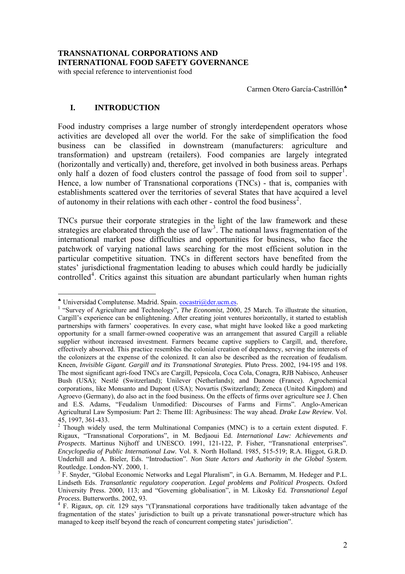with special reference to interventionist food

Carmen Otero García-Castrillón<sup>\*</sup>

# **I. INTRODUCTION**

Food industry comprises a large number of strongly interdependent operators whose activities are developed all over the world. For the sake of simplification the food business can be classified in downstream (manufacturers: agriculture and transformation) and upstream (retailers). Food companies are largely integrated (horizontally and vertically) and, therefore, get involved in both business areas. Perhaps only half a dozen of food clusters control the passage of food from soil to supper<sup>[1](#page-1-1)</sup>. Hence, a low number of Transnational corporations (TNCs) - that is, companies with establishments scattered over the territories of several States that have acquired a level of autonomy in their relations with each other - control the food business<sup>[2](#page-1-2)</sup>.

TNCs pursue their corporate strategies in the light of the law framework and these strategies are elaborated through the use of  $law<sup>3</sup>$  $law<sup>3</sup>$  $law<sup>3</sup>$ . The national laws fragmentation of the international market pose difficulties and opportunities for business, who face the patchwork of varying national laws searching for the most efficient solution in the particular competitive situation. TNCs in different sectors have benefited from the states' jurisdictional fragmentation leading to abuses which could hardly be judicially controlled<sup>[4](#page-1-4)</sup>. Critics against this situation are abundant particularly when human rights

<sup>♣</sup> Universidad Complutense. Madrid. Spain. [cocastri@der.ucm.es](mailto:cocastri@der.ucm.es). 1

<span id="page-1-1"></span><span id="page-1-0"></span><sup>&</sup>lt;sup>1</sup> "Survey of Agriculture and Technology", *The Economist*, 2000, 25 March. To illustrate the situation, Cargill's experience can be enlightening. After creating joint ventures horizontally, it started to establish partnerships with farmers' cooperatives. In every case, what might have looked like a good marketing opportunity for a small farmer-owned cooperative was an arrangement that assured Cargill a reliable supplier without increased investment. Farmers became captive suppliers to Cargill, and, therefore, effectively absorved. This practice resembles the colonial creation of dependency, serving the interests of the colonizers at the expense of the colonized. It can also be described as the recreation of feudalism. Kneen, *Invisible Gigant. Gargill and its Transnational Strategies.* Pluto Press. 2002, 194-195 and 198. The most significant agri-food TNCs are Cargill, Pepsicola, Coca Cola, Conagra, RJB Nabisco, Anheuser Bush (USA); Nestlé (Switzerland); Unilever (Netherlands); and Danone (France). Agrochemical corporations, like Monsanto and Dupont (USA); Novartis (Switzerland); Zeneca (United Kingdom) and Agroevo (Germany), do also act in the food business. On the effects of firms over agriculture see J. Chen and E.S. Adams, "Feudalism Unmodified: Discourses of Farms and Firms". Anglo-American Agricultural Law Symposium: Part 2: Theme III: Agribusiness: The way ahead. *Drake Law Review*. Vol.

<span id="page-1-2"></span><sup>45, 1997, 361-433.&</sup>lt;br><sup>2</sup> Though widely used, the term Multinational Companies (MNC) is to a certain extent disputed. F. Rigaux, "Transnational Corporations", in M. Bedjaoui Ed. *International Law: Achievements and Prospects*. Martinus Nijhoff and UNESCO. 1991, 121-122, P. Fisher, "Transnational enterprises". *Encyclopedia of Public International Law.* Vol. 8. North Holland. 1985, 515-519; R.A. Higgot, G.R.D. Underhill and A. Bieler, Eds. "Introduction". *Non State Actors and Authority in the Global System.* Routledge. London-NY. 2000, 1.

<span id="page-1-3"></span><sup>&</sup>lt;sup>3</sup> F. Snyder, "Global Economic Networks and Legal Pluralism", in G.A. Bernamm, M. Hedeger and P.L. Lindseth Eds. *Transatlantic regulatory cooperation. Legal problems and Political Prospects.* Oxford University Press. 2000, 113; and "Governing globalisation", in M. Likosky Ed. *Transnational Legal Process.* Butterworths. 2002, 93. 4

<span id="page-1-4"></span>F. Rigaux, *op. cit.* 129 says "(T)ransnational corporations have traditionally taken advantage of the fragmentation of the states' jurisdiction to built up a private transnational power-structure which has managed to keep itself beyond the reach of concurrent competing states' jurisdiction".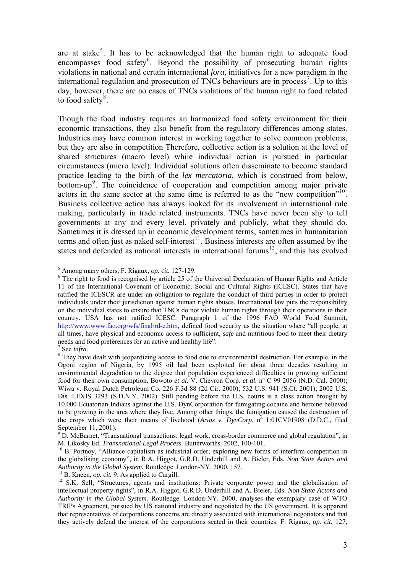are at stake<sup>[5](#page-2-0)</sup>. It has to be acknowledged that the human right to adequate food encompasses food safety<sup>[6](#page-2-1)</sup>. Beyond the possibility of prosecuting human rights violations in national and certain international *fora*, initiatives for a new paradigm in the international regulation and prosecution of TNCs behaviours are in process<sup>[7](#page-2-2)</sup>. Up to this day, however, there are no cases of TNCs violations of the human right to food related to food safety $\frac{8}{3}$  $\frac{8}{3}$  $\frac{8}{3}$ .

Though the food industry requires an harmonized food safety environment for their economic transactions, they also benefit from the regulatory differences among states. Industries may have common interest in working together to solve common problems, but they are also in competition Therefore, collective action is a solution at the level of shared structures (macro level) while individual action is pursued in particular circumstances (micro level). Individual solutions often disseminate to become standard practice leading to the birth of the *lex mercatoria*, which is construed from below, bottom-up<sup>[9](#page-2-4)</sup>. The coincidence of cooperation and competition among major private actors in the same sector at the same time is referred to as the "new competition"<sup>[10](#page-2-5)</sup>. Business collective action has always looked for its involvement in international rule making, particularly in trade related instruments. TNCs have never been shy to tell governments at any and every level, privately and publicly, what they should do. Sometimes it is dressed up in economic development terms, sometimes in humanitarian terms and often just as naked self-interest<sup>[11](#page-2-6)</sup>. Business interests are often assumed by the states and defended as national interests in international forums<sup>[12](#page-2-7)</sup>, and this has evolved

 $\overline{a}$ <sup>5</sup> Among many others, F. Rigaux, *op. cit.* 127-129.

<span id="page-2-1"></span><span id="page-2-0"></span><sup>&</sup>lt;sup>6</sup> The right to food is recognised by article 25 of the Universal Declaration of Human Rights and Article 11 of the International Covenant of Economic, Social and Cultural Rights (ICESC). States that have ratified the ICESCR are under an obligation to regulate the conduct of third parties in order to protect individuals under their jurisdiction against human rights abuses. International law puts the responsibility on the individual states to ensure that TNCs do not violate human rights through their operations in their country. USA has not ratified ICESC. Paragraph 1 of the 1996 FAO World Food Summit, <http://www.www.fao.org/wfs/final/rd-e.htm>, defined food security as the situation where "all people, at all times, have physical and economic access to sufficient, *safe* and nutritious food to meet their dietary needs and food preferences for an active and healthy life".

<span id="page-2-2"></span> $<sup>7</sup>$  See *infra*.</sup>

<span id="page-2-3"></span><sup>&</sup>lt;sup>8</sup> They have dealt with jeopardizing access to food due to environmental destruction. For example, in the Ogoni region of Nigeria, by 1995 oil had been exploited for about three decades resulting in environmental degradation to the degree that population experienced difficulties in growing sufficient food for their own consumption. Bowoto *et al.* V. Chevron Corp. *et al.* nº C 99 2056 (N.D. Cal. 2000); Wiwa v. Royal Dutch Petroleum Co. 226 F.3d 88 (2d Cir. 2000); 532 U.S. 941 (S.Ct. 2001); 2002 U.S. Dis. LEXIS 3293 (S.D.N.Y. 2002). Still pending before the U.S. courts is a class action brought by 10.000 Ecuatorian Indians against the U.S. DynCorporation for fumigating cocaine and heroine believed to be growing in the area where they live. Among other things, the fumigation caused the destruction of the crops which were their means of livehood (*Arias v. DynCorp*, nº 1:01CV01908 (D.D.C., filed September 11, 2001).

<sup>&</sup>lt;sup>9</sup> D. McBarnet, "Transnational transactions: legal work, cross-border commerce and global regulation", in

<span id="page-2-5"></span><span id="page-2-4"></span>M. Likosky Ed. *Transnational Legal Process*. Butterworths. 2002, 100-101.<br><sup>10</sup> B. Portnoy, "Alliance capitalism as industrial order; exploring new forms of interfirm competition in the globalising economy", in R.A. Higgot, G.R.D. Underhill and A. Bieler, Eds. *Non State Actors and* 

<span id="page-2-7"></span><span id="page-2-6"></span><sup>&</sup>lt;sup>11</sup> B. Kneen, *op. cit.* 9. As applied to Cargill.<br><sup>12</sup> S.K. Sell, "Structures, agents and institutions: Private corporate power and the globalisation of intellectual property rights", in R.A. Higgot, G.R.D. Underhill and A. Bieler, Eds. *Non State Actors and Authority in the Global System.* Routledge. London-NY. 2000, analyses the exemplary case of WTO TRIPs Agreement, pursued by US national industry and negotiated by the US government. It is apparent that representatives of corporations concerns are directly associated with international negotiators and that they actively defend the interest of the corporations seated in their countries. F. Rigaux, *op. cit.* 127,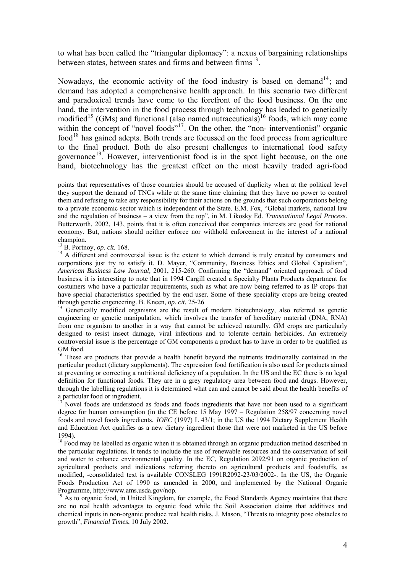to what has been called the "triangular diplomacy": a nexus of bargaining relationships between states, between states and firms and between firms<sup>[13](#page-3-0)</sup>.

Nowadays, the economic activity of the food industry is based on demand<sup>[14](#page-3-1)</sup>; and demand has adopted a comprehensive health approach. In this scenario two different and paradoxical trends have come to the forefront of the food business. On the one hand, the intervention in the food process through technology has leaded to genetically modified<sup>[15](#page-3-2)</sup> (GMs) and functional (also named nutraceuticals)<sup>[16](#page-3-3)</sup> foods, which may come within the concept of "novel foods"<sup>[17](#page-3-4)</sup>. On the other, the "non- interventionist" organic  $food<sup>18</sup>$  $food<sup>18</sup>$  $food<sup>18</sup>$  has gained adepts. Both trends are focussed on the food process from agriculture to the final product. Both do also present challenges to international food safety governance<sup>[19](#page-3-6)</sup>. However, interventionist food is in the spot light because, on the one hand, biotechnology has the greatest effect on the most heavily traded agri-food

champion.<br><sup>13</sup> B. Portnoy, *op. cit.* 168.

<span id="page-3-4"></span> $17$  Novel foods are understood as foods and foods ingredients that have not been used to a significant degree for human consumption (in the CE before 15 May 1997 – Regulation 258/97 concerning novel foods and novel foods ingredients, *JOEC* (1997) L 43/1; in the US the 1994 Dietary Supplement Health and Education Act qualifies as a new dietary ingredient those that were not marketed in the US before 1994).

<span id="page-3-5"></span><sup>18</sup> Food may be labelled as organic when it is obtained through an organic production method described in the particular regulations. It tends to include the use of renewable resources and the conservation of soil and water to enhance environmental quality. In the EC, Regulation 2092/91 on organic production of agricultural products and indications referring thereto on agricultural products and foodstuffs, as modified, -consolidated text is available CONSLEG 1991R2092-23/03/2002-. In the US, the Organic Foods Production Act of 1990 as amended in 2000, and implemented by the National Organic Programme, http://www.ams.usda.gov/nop.

<span id="page-3-6"></span><sup>19</sup> As to organic food, in United Kingdom, for example, the Food Standards Agency maintains that there are no real health advantages to organic food while the Soil Association claims that additives and chemical inputs in non-organic produce real health risks. J. Mason, "Threats to integrity pose obstacles to growth", *Financial Times*, 10 July 2002.

points that representatives of those countries should be accused of duplicity when at the political level they support the demand of TNCs while at the same time claiming that they have no power to control them and refusing to take any responsibility for their actions on the grounds that such corporations belong to a private economic sector which is independent of the State. E.M. Fox, "Global markets, national law and the regulation of business – a view from the top", in M. Likosky Ed. *Transnational Legal Process.* Butterworth, 2002, 143, points that it is often conceived that companies interests are good for national economy. But, nations should neither enforce nor withhold enforcement in the interest of a national

<span id="page-3-1"></span><span id="page-3-0"></span><sup>&</sup>lt;sup>14</sup> A different and controversial issue is the extent to which demand is truly created by consumers and corporations just try to satisfy it. D. Mayer, "Community, Business Ethics and Global Capitalism", *American Business Law Journal,* 2001, 215-260. Confirming the "demand" oriented approach of food business, it is interesting to note that in 1994 Cargill created a Specialty Plants Products department for costumers who have a particular requirements, such as what are now being referred to as IP crops that have special characteristics specified by the end user. Some of these speciality crops are being created through genetic engeneering. B. Kneen, *op. cit.* 25-26<br><sup>15</sup> Genetically modified organisms are the result of modern biotechnology, also referred as genetic

<span id="page-3-2"></span>engineering or genetic manipulation, which involves the transfer of hereditary material (DNA, RNA) from one organism to another in a way that cannot be achieved naturally. GM crops are particularly designed to resist insect damage, viral infections and to tolerate certain herbicides. An extremely controversial issue is the percentage of GM components a product has to have in order to be qualified as GM food.

<span id="page-3-3"></span><sup>&</sup>lt;sup>16</sup> These are products that provide a health benefit beyond the nutrients traditionally contained in the particular product (dietary supplements). The expression food fortification is also used for products aimed at preventing or correcting a nutritional deficiency of a population. In the US and the EC there is no legal definition for functional foods. They are in a grey regulatory area between food and drugs. However, through the labelling regulations it is determined what can and cannot be said about the health benefits of a particular food or ingredient.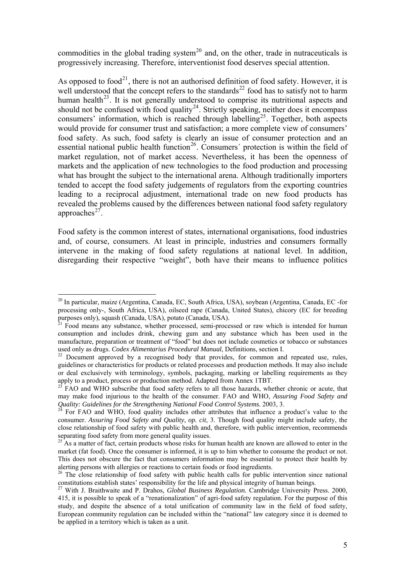commodities in the global trading system<sup>[20](#page-4-0)</sup> and, on the other, trade in nutraceuticals is progressively increasing. Therefore, interventionist food deserves special attention.

As opposed to food<sup>[21](#page-4-1)</sup>, there is not an authorised definition of food safety. However, it is well understood that the concept refers to the standards<sup>[22](#page-4-2)</sup> food has to satisfy not to harm human health<sup>[23](#page-4-3)</sup>. It is not generally understood to comprise its nutritional aspects and should not be confused with food quality<sup>[24](#page-4-4)</sup>. Strictly speaking, neither does it encompass consumers' information, which is reached through labelling<sup>[25](#page-4-5)</sup>. Together, both aspects would provide for consumer trust and satisfaction; a more complete view of consumers' food safety. As such, food safety is clearly an issue of consumer protection and an essential national public health function<sup>[26](#page-4-6)</sup>. Consumers' protection is within the field of market regulation, not of market access. Nevertheless, it has been the openness of markets and the application of new technologies to the food production and processing what has brought the subject to the international arena. Although traditionally importers tended to accept the food safety judgements of regulators from the exporting countries leading to a reciprocal adjustment, international trade on new food products has revealed the problems caused by the differences between national food safety regulatory approaches $^{27}$  $^{27}$  $^{27}$ .

Food safety is the common interest of states, international organisations, food industries and, of course, consumers. At least in principle, industries and consumers formally intervene in the making of food safety regulations at national level. In addition, disregarding their respective "weight", both have their means to influence politics

<span id="page-4-0"></span><sup>20</sup> In particular, maize (Argentina, Canada, EC, South Africa, USA), soybean (Argentina, Canada, EC -for processing only-, South Africa, USA), oilseed rape (Canada, United States), chicory (EC for breeding purposes only), squash (Canada, USA), potato (Canada, USA).

<span id="page-4-1"></span> $21$  Food means any substance, whether processed, semi-processed or raw which is intended for human consumption and includes drink, chewing gum and any substance which has been used in the manufacture, preparation or treatment of "food" but does not include cosmetics or tobacco or substances used only as drugs. *Codex Alimentarius Procedural Manual*, Definitions, section I.<br><sup>22</sup> Document approved by a recognised body that provides, for common and repeated use, rules,

<span id="page-4-2"></span>guidelines or characteristics for products or related processes and production methods. It may also include or deal exclusively with terminology, symbols, packaging, marking or labelling requirements as they apply to a product, process or production method. Adapted from Annex 1TBT.

<span id="page-4-3"></span> $^{23}$  FAO and WHO subscribe that food safety refers to all those hazards, whether chronic or acute, that may make food injurious to the health of the consumer. FAO and WHO, *Assuring Food Safety and Quality: Guidelines for the Strengthening National Food Control Systems.* 2003, 3.<br><sup>24</sup> For FAO and WHO, food quality includes other attributes that influence a product's value to the

<span id="page-4-4"></span>consumer. *Assuring Food Safety and Quality*, *op. cit*, 3. Though food quality might include safety, the close relationship of food safety with public health and, therefore, with public intervention, recommends separating food safety from more general quality issues.

<span id="page-4-5"></span>As a matter of fact, certain products whose risks for human health are known are allowed to enter in the market (fat food). Once the consumer is informed, it is up to him whether to consume the product or not. This does not obscure the fact that consumers information may be essential to protect their health by alerting persons with allergies or reactions to certain foods or food ingredients.<br><sup>26</sup> The close relationship of food safety with public health calls for public intervention since national

<span id="page-4-6"></span>constitutions establish states' responsibility for the life and physical integrity of human beings.

<span id="page-4-7"></span><sup>27</sup> With J. Braithwaite and P. Drahos, *Global Business Regulation.* Cambridge University Press. 2000, 415, it is possible to speak of a "renationalization" of agri-food safety regulation. For the purpose of this study, and despite the absence of a total unification of community law in the field of food safety, European community regulation can be included within the "national" law category since it is deemed to be applied in a territory which is taken as a unit.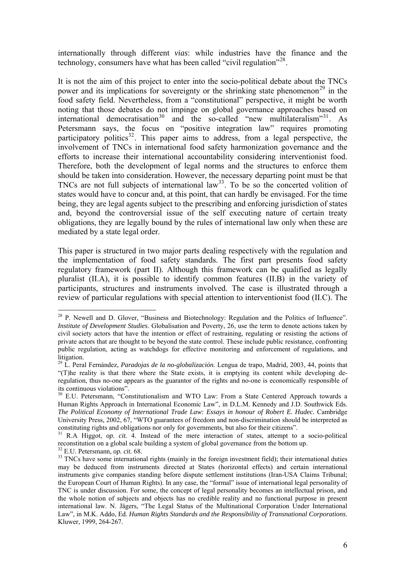internationally through different *vias*: while industries have the finance and the technology, consumers have what has been called "civil regulation"<sup>[28](#page-5-0)</sup>.

It is not the aim of this project to enter into the socio-political debate about the TNCs power and its implications for sovereignty or the shrinking state phenomenon<sup>[29](#page-5-1)</sup> in the food safety field. Nevertheless, from a "constitutional" perspective, it might be worth noting that those debates do not impinge on global governance approaches based on international democratisation<sup>[30](#page-5-2)</sup> and the so-called "new multilateralism"<sup>[31](#page-5-3)</sup>. As Petersmann says, the focus on "positive integration law" requires promoting participatory politics<sup>[32](#page-5-4)</sup>. This paper aims to address, from a legal perspective, the involvement of TNCs in international food safety harmonization governance and the efforts to increase their international accountability considering interventionist food. Therefore, both the development of legal norms and the structures to enforce them should be taken into consideration. However, the necessary departing point must be that TNCs are not full subjects of international  $law^{33}$  $law^{33}$  $law^{33}$ . To be so the concerted volition of states would have to concur and, at this point, that can hardly be envisaged. For the time being, they are legal agents subject to the prescribing and enforcing jurisdiction of states and, beyond the controversial issue of the self executing nature of certain treaty obligations, they are legally bound by the rules of international law only when these are mediated by a state legal order.

This paper is structured in two major parts dealing respectively with the regulation and the implementation of food safety standards. The first part presents food safety regulatory framework (part II). Although this framework can be qualified as legally pluralist (II.A), it is possible to identify common features (II.B) in the variety of participants, structures and instruments involved. The case is illustrated through a review of particular regulations with special attention to interventionist food (II.C). The

<span id="page-5-0"></span><sup>&</sup>lt;sup>28</sup> P. Newell and D. Glover, "Business and Biotechnology: Regulation and the Politics of Influence". *Institute of Development Studies*. Globalisation and Poverty, 26, use the term to denote actions taken by civil society actors that have the intention or effect of restraining, regulating or resisting the actions of private actors that are thought to be beyond the state control. These include public resistance, confronting public regulation, acting as watchdogs for effective monitoring and enforcement of regulations, and litigation.

<span id="page-5-1"></span><sup>29</sup> L. Peral Fernández, *Paradojas de la no-globalización*. Lengua de trapo, Madrid, 2003, 44, points that "(T)he reality is that there where the State exists, it is emptying its content while developing deregulation, thus no-one appears as the guarantor of the rights and no-one is economically responsible of its continuous violations".

<span id="page-5-2"></span><sup>&</sup>lt;sup>30</sup> E.U. Petersmann, "Constitutionalism and WTO Law: From a State Centered Approach towards a Human Rights Approach in International Economic Law", in D.L.M. Kennedy and J.D. Southwick Eds. *The Political Economy of International Trade Law: Essays in honour of Robert E. Hudec.* Cambridge University Press, 2002, 67, "WTO guarantees of freedom and non-discrimination should be interpreted as constituting rights and obligations nor only for governments, but also for their citizens".

<span id="page-5-3"></span><sup>31</sup> R.A Higgot, *op. cit.* 4. Instead of the mere interaction of states, attempt to a socio-political reconstitution on a global scale building a system of global governance from the bottom up.<br><sup>32</sup> E.U. Petersmann, *op. cit.* 68.

<span id="page-5-5"></span><span id="page-5-4"></span><sup>&</sup>lt;sup>33</sup> TNCs have some international rights (mainly in the foreign investment field); their international duties may be deduced from instruments directed at States (horizontal effects) and certain international instruments give companies standing before dispute settlement institutions (Iran-USA Claims Tribunal; the European Court of Human Rights). In any case, the "formal" issue of international legal personality of TNC is under discussion. For some, the concept of legal personality becomes an intellectual prison, and the whole notion of subjects and objects has no credible reality and no functional purpose in present international law. N. Jägers, "The Legal Status of the Multinational Corporation Under International Law", in M.K. Addo, Ed. *Human Rights Standards and the Responsibility of Transnational Corporations*. Kluwer, 1999, 264-267.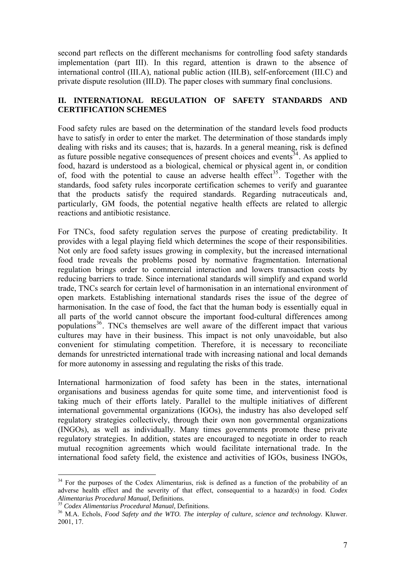second part reflects on the different mechanisms for controlling food safety standards implementation (part III). In this regard, attention is drawn to the absence of international control (III.A), national public action (III.B), self-enforcement (III.C) and private dispute resolution (III.D). The paper closes with summary final conclusions.

# **II. INTERNATIONAL REGULATION OF SAFETY STANDARDS AND CERTIFICATION SCHEMES**

Food safety rules are based on the determination of the standard levels food products have to satisfy in order to enter the market. The determination of those standards imply dealing with risks and its causes; that is, hazards. In a general meaning, risk is defined as future possible negative consequences of present choices and events<sup>[34](#page-6-0)</sup>. As applied to food, hazard is understood as a biological, chemical or physical agent in, or condition of, food with the potential to cause an adverse health effect<sup>[35](#page-6-1)</sup>. Together with the standards, food safety rules incorporate certification schemes to verify and guarantee that the products satisfy the required standards. Regarding nutraceuticals and, particularly, GM foods, the potential negative health effects are related to allergic reactions and antibiotic resistance.

For TNCs, food safety regulation serves the purpose of creating predictability. It provides with a legal playing field which determines the scope of their responsibilities. Not only are food safety issues growing in complexity, but the increased international food trade reveals the problems posed by normative fragmentation. International regulation brings order to commercial interaction and lowers transaction costs by reducing barriers to trade. Since international standards will simplify and expand world trade, TNCs search for certain level of harmonisation in an international environment of open markets. Establishing international standards rises the issue of the degree of harmonisation. In the case of food, the fact that the human body is essentially equal in all parts of the world cannot obscure the important food-cultural differences among populations<sup>[36](#page-6-2)</sup>. TNCs themselves are well aware of the different impact that various cultures may have in their business. This impact is not only unavoidable, but also convenient for stimulating competition. Therefore, it is necessary to reconciliate demands for unrestricted international trade with increasing national and local demands for more autonomy in assessing and regulating the risks of this trade.

International harmonization of food safety has been in the states, international organisations and business agendas for quite some time, and interventionist food is taking much of their efforts lately. Parallel to the multiple initiatives of different international governmental organizations (IGOs), the industry has also developed self regulatory strategies collectively, through their own non governmental organizations (INGOs), as well as individually. Many times governments promote these private regulatory strategies. In addition, states are encouraged to negotiate in order to reach mutual recognition agreements which would facilitate international trade. In the international food safety field, the existence and activities of IGOs, business INGOs,

<span id="page-6-0"></span><sup>&</sup>lt;sup>34</sup> For the purposes of the Codex Alimentarius, risk is defined as a function of the probability of an adverse health effect and the severity of that effect, consequential to a hazard(s) in food. *Codex* 

<span id="page-6-2"></span><span id="page-6-1"></span><sup>&</sup>lt;sup>35</sup> Codex Alimentarius Procedural Manual, Definitions.<br><sup>36</sup> M.A. Echols, *Food Safety and the WTO. The interplay of culture, science and technology. Kluwer.* 2001, 17.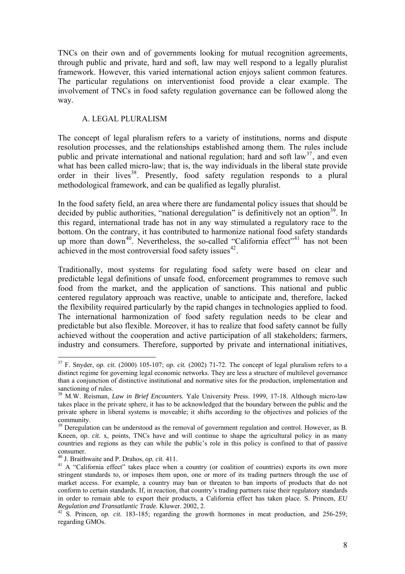TNCs on their own and of governments looking for mutual recognition agreements, through public and private, hard and soft, law may well respond to a legally pluralist framework. However, this varied international action enjoys salient common features. The particular regulations on interventionist food provide a clear example. The involvement of TNCs in food safety regulation governance can be followed along the way.

## A. LEGAL PLURALISM

The concept of legal pluralism refers to a variety of institutions, norms and dispute resolution processes, and the relationships established among them. The rules include public and private international and national regulation; hard and soft law<sup>[37](#page-7-0)</sup>, and even what has been called micro-law; that is, the way individuals in the liberal state provide order in their lives<sup>[38](#page-7-1)</sup>. Presently, food safety regulation responds to a plural methodological framework, and can be qualified as legally pluralist.

In the food safety field, an area where there are fundamental policy issues that should be decided by public authorities, "national deregulation" is definitively not an option<sup>[39](#page-7-2)</sup>. In this regard, international trade has not in any way stimulated a regulatory race to the bottom. On the contrary, it has contributed to harmonize national food safety standards up more than down<sup>[40](#page-7-3)</sup>. Nevertheless, the so-called "California effect"<sup>[41](#page-7-4)</sup> has not been achieved in the most controversial food safety issues  $42$ .

Traditionally, most systems for regulating food safety were based on clear and predictable legal definitions of unsafe food, enforcement programmes to remove such food from the market, and the application of sanctions. This national and public centered regulatory approach was reactive, unable to anticipate and, therefore, lacked the flexibility required particularly by the rapid changes in technologies applied to food. The international harmonization of food safety regulation needs to be clear and predictable but also flexible. Moreover, it has to realize that food safety cannot be fully achieved without the cooperation and active participation of all stakeholders; farmers, industry and consumers. Therefore, supported by private and international initiatives,

<span id="page-7-0"></span> $\overline{a}$ <sup>37</sup> F. Snyder, *op. cit.* (2000) 105-107; *op. cit.* (2002) 71-72. The concept of legal pluralism refers to a distinct regime for governing legal economic networks. They are less a structure of multilevel governance than a conjunction of distinctive institutional and normative sites for the production, implementation and sanctioning of rules.

<span id="page-7-1"></span><sup>38</sup> M.W. Reisman, *Law in Brief Encounters*. Yale University Press. 1999, 17-18. Although micro-law takes place in the private sphere, it has to be acknowledged that the boundary between the public and the private sphere in liberal systems is moveable; it shifts according to the objectives and policies of the community.

<span id="page-7-2"></span><sup>&</sup>lt;sup>39</sup> Deregulation can be understood as the removal of government regulation and control. However, as B. Kneen, *op. cit.* x, points, TNCs have and will continue to shape the agricultural policy in as many countries and regions as they can while the public's role in this policy is confined to that of passive consumer.<br><sup>40</sup> J. Braithwaite and P. Drahos, *op. cit.* 411.

<span id="page-7-4"></span><span id="page-7-3"></span><sup>&</sup>lt;sup>41</sup> A "California effect" takes place when a country (or coalition of countries) exports its own more stringent standards to, or imposes them upon, one or more of its trading partners through the use of market access. For example, a country may ban or threaten to ban imports of products that do not conform to certain standards. If, in reaction, that country's trading partners raise their regulatory standards in order to remain able to export their products, a California effect has taken place. S. Princen, *EU Regulation and Transatlantic Trade.* Kluwer. 2002, 2.<br><sup>42</sup> S. Princen, *op. cit.* 183-185; regarding the growth hormones in meat production, and 256-259;

<span id="page-7-5"></span>regarding GMOs.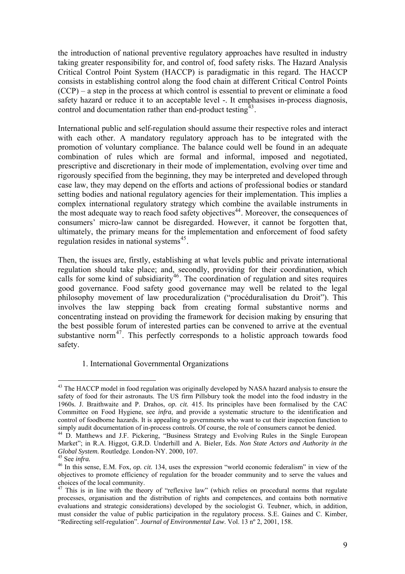the introduction of national preventive regulatory approaches have resulted in industry taking greater responsibility for, and control of, food safety risks. The Hazard Analysis Critical Control Point System (HACCP) is paradigmatic in this regard. The HACCP consists in establishing control along the food chain at different Critical Control Points (CCP) – a step in the process at which control is essential to prevent or eliminate a food safety hazard or reduce it to an acceptable level -. It emphasises in-process diagnosis, control and documentation rather than end-product testing $43$ .

International public and self-regulation should assume their respective roles and interact with each other. A mandatory regulatory approach has to be integrated with the promotion of voluntary compliance. The balance could well be found in an adequate combination of rules which are formal and informal, imposed and negotiated, prescriptive and discretionary in their mode of implementation, evolving over time and rigorously specified from the beginning, they may be interpreted and developed through case law, they may depend on the efforts and actions of professional bodies or standard setting bodies and national regulatory agencies for their implementation. This implies a complex international regulatory strategy which combine the available instruments in the most adequate way to reach food safety objectives<sup>[44](#page-8-1)</sup>. Moreover, the consequences of consumers' micro-law cannot be disregarded. However, it cannot be forgotten that, ultimately, the primary means for the implementation and enforcement of food safety regulation resides in national systems<sup>[45](#page-8-2)</sup>.

Then, the issues are, firstly, establishing at what levels public and private international regulation should take place; and, secondly, providing for their coordination, which calls for some kind of subsidiarity<sup>[46](#page-8-3)</sup>. The coordination of regulation and sites requires good governance. Food safety good governance may well be related to the legal philosophy movement of law proceduralization ("procéduralisation du Droit"). This involves the law stepping back from creating formal substantive norms and concentrating instead on providing the framework for decision making by ensuring that the best possible forum of interested parties can be convened to arrive at the eventual substantive norm<sup>[47](#page-8-4)</sup>. This perfectly corresponds to a holistic approach towards food safety.

### 1. International Governmental Organizations

<span id="page-8-0"></span><sup>&</sup>lt;sup>43</sup> The HACCP model in food regulation was originally developed by NASA hazard analysis to ensure the safety of food for their astronauts. The US firm Pillsbury took the model into the food industry in the 1960s. J. Braithwaite and P. Drahos, *op. cit.* 415. Its principles have been formalised by the CAC Committee on Food Hygiene, see *infra*, and provide a systematic structure to the identification and control of foodborne hazards. It is appealing to governments who want to cut their inspection function to simply audit documentation of in-process controls. Of course, the role of consumers cannot be denied.

<span id="page-8-1"></span><sup>&</sup>lt;sup>44</sup> D. Matthews and J.F. Pickering, "Business Strategy and Evolving Rules in the Single European Market"; in R.A. Higgot, G.R.D. Underhill and A. Bieler, Eds. *Non State Actors and Authority in the* 

<span id="page-8-3"></span><span id="page-8-2"></span><sup>&</sup>lt;sup>45</sup> See *infra*.<br><sup>46</sup> In this sense, E.M. Fox, *op. cit.* 134, uses the expression "world economic federalism" in view of the objectives to promote efficiency of regulation for the broader community and to serve the values and choices of the local community.

<span id="page-8-4"></span> $47$  This is in line with the theory of "reflexive law" (which relies on procedural norms that regulate processes, organisation and the distribution of rights and competences, and contains both normative evaluations and strategic considerations) developed by the sociologist G. Teubner, which, in addition, must consider the value of public participation in the regulatory process. S.E. Gaines and C. Kimber, "Redirecting self-regulation". *Journal of Environmental Law*. Vol. 13 nº 2, 2001, 158.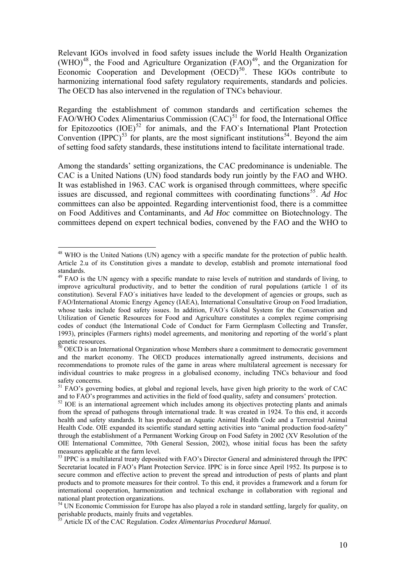Relevant IGOs involved in food safety issues include the World Health Organization  $(WHO)^{48}$  $(WHO)^{48}$  $(WHO)^{48}$ , the Food and Agriculture Organization (FAO)<sup>[49](#page-9-1)</sup>, and the Organization for Economic Cooperation and Development  $(OECD)$ <sup>[50](#page-9-2)</sup>. These IGOs contribute to harmonizing international food safety regulatory requirements, standards and policies. The OECD has also intervened in the regulation of TNCs behaviour.

Regarding the establishment of common standards and certification schemes the FAO/WHO Codex Alimentarius Commission  $(CAC)^{51}$  $(CAC)^{51}$  $(CAC)^{51}$  for food, the International Office for Epitozootics  $(IOE)^{52}$  $(IOE)^{52}$  $(IOE)^{52}$  for animals, and the FAO's International Plant Protection Convention (IPPC)<sup>[53](#page-9-5)</sup> for plants, are the most significant institutions<sup>[54](#page-9-6)</sup>. Beyond the aim of setting food safety standards, these institutions intend to facilitate international trade.

Among the standards' setting organizations, the CAC predominance is undeniable. The CAC is a United Nations (UN) food standards body run jointly by the FAO and WHO. It was established in 1963. CAC work is organised through committees, where specific issues are discussed, and regional committees with coordinating functions<sup>[55](#page-9-7)</sup>. Ad Hoc committees can also be appointed. Regarding interventionist food, there is a committee on Food Additives and Contaminants, and *Ad Hoc* committee on Biotechnology. The committees depend on expert technical bodies, convened by the FAO and the WHO to

<span id="page-9-0"></span><sup>&</sup>lt;sup>48</sup> WHO is the United Nations (UN) agency with a specific mandate for the protection of public health. Article 2.u of its Constitution gives a mandate to develop, establish and promote international food standards.

<span id="page-9-1"></span><sup>&</sup>lt;sup>49</sup> FAO is the UN agency with a specific mandate to raise levels of nutrition and standards of living, to improve agricultural productivity, and to better the condition of rural populations (article 1 of its constitution). Several FAO´s initiatives have leaded to the development of agencies or groups, such as FAO/International Atomic Energy Agency (IAEA), International Consultative Group on Food Irradiation, whose tasks include food safety issues. In addition, FAO´s Global System for the Conservation and Utilization of Genetic Resources for Food and Agriculture constitutes a complex regime comprising codes of conduct (the International Code of Conduct for Farm Germplasm Collecting and Transfer, 1993), principles (Farmers rights) model agreements, and monitoring and reporting of the world´s plant genetic resources.

<span id="page-9-2"></span> $50$  OECD is an International Organization whose Members share a commitment to democratic government and the market economy. The OECD produces internationally agreed instruments, decisions and recommendations to promote rules of the game in areas where multilateral agreement is necessary for individual countries to make progress in a globalised economy, including TNCs behaviour and food safety concerns.

<span id="page-9-3"></span><sup>&</sup>lt;sup>51</sup> FAO's governing bodies, at global and regional levels, have given high priority to the work of CAC and to FAO's programmes and activities in the field of food quality, safety and consumers' protection.<br><sup>52</sup> IOE is an international agreement which includes among its objectives protecting plants and animals

<span id="page-9-4"></span>from the spread of pathogens through international trade. It was created in 1924. To this end, it accords health and safety standards. It has produced an Aquatic Animal Health Code and a Terrestrial Animal Health Code. OIE expanded its scientific standard setting activities into "animal production food-safety" through the establishment of a Permanent Working Group on Food Safety in 2002 (XV Resolution of the OIE International Committee, 70th General Session, 2002), whose initial focus has been the safety measures applicable at the farm level.

<span id="page-9-5"></span><sup>&</sup>lt;sup>53</sup> IPPC is a multilateral treaty deposited with FAO's Director General and administered through the IPPC Secretariat located in FAO's Plant Protection Service. IPPC is in force since April 1952. Its purpose is to secure common and effective action to prevent the spread and introduction of pests of plants and plant products and to promote measures for their control. To this end, it provides a framework and a forum for international cooperation, harmonization and technical exchange in collaboration with regional and national plant protection organizations.

<span id="page-9-6"></span><sup>&</sup>lt;sup>54</sup> UN Economic Commission for Europe has also played a role in standard settling, largely for quality, on perishable products, mainly fruits and vegetables.

<span id="page-9-7"></span><sup>55</sup> Article IX of the CAC Regulation. *Codex Alimentarius Procedural Manual*.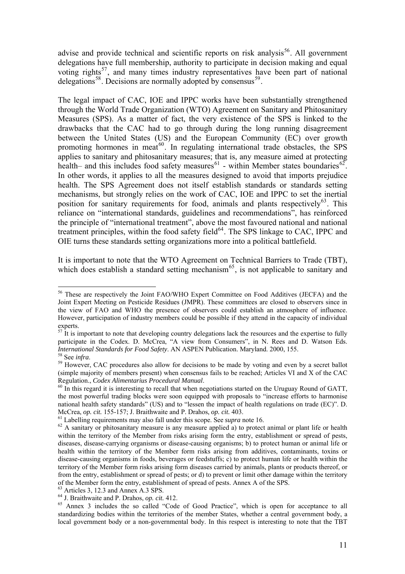advise and provide technical and scientific reports on risk analysis<sup>[56](#page-10-0)</sup>. All government delegations have full membership, authority to participate in decision making and equal voting rights<sup>[57](#page-10-1)</sup>, and many times industry representatives have been part of national delegations<sup>[58](#page-10-2)</sup>. Decisions are normally adopted by consensus<sup>[59](#page-10-3)</sup>.

The legal impact of CAC, IOE and IPPC works have been substantially strengthened through the World Trade Organization (WTO) Agreement on Sanitary and Phitosanitary Measures (SPS). As a matter of fact, the very existence of the SPS is linked to the drawbacks that the CAC had to go through during the long running disagreement between the United States (US) and the European Community (EC) over growth promoting hormones in meat<sup>[60](#page-10-4)</sup>. In regulating international trade obstacles, the SPS applies to sanitary and phitosanitary measures; that is, any measure aimed at protecting health– and this includes food safety measures<sup>[61](#page-10-5)</sup> - within Member states boundaries<sup>[62](#page-10-6)</sup>. In other words, it applies to all the measures designed to avoid that imports prejudice health. The SPS Agreement does not itself establish standards or standards setting mechanisms, but strongly relies on the work of CAC, IOE and IPPC to set the inertial position for sanitary requirements for food, animals and plants respectively<sup>[63](#page-10-7)</sup>. This reliance on "international standards, guidelines and recommendations", has reinforced the principle of "international treatment", above the most favoured national and national treatment principles, within the food safety field<sup>[64](#page-10-8)</sup>. The SPS linkage to CAC, IPPC and OIE turns these standards setting organizations more into a political battlefield.

It is important to note that the WTO Agreement on Technical Barriers to Trade (TBT), which does establish a standard setting mechanism<sup>[65](#page-10-9)</sup>, is not applicable to sanitary and

<span id="page-10-0"></span><sup>&</sup>lt;sup>56</sup> These are respectively the Joint FAO/WHO Expert Committee on Food Additives (JECFA) and the Joint Expert Meeting on Pesticide Residues (JMPR). These committees are closed to observers since in the view of FAO and WHO the presence of observers could establish an atmosphere of influence. However, participation of industry members could be possible if they attend in the capacity of individual experts.

<span id="page-10-1"></span> $57$  It is important to note that developing country delegations lack the resources and the expertise to fully participate in the Codex. D. McCrea, "A view from Consumers", in N. Rees and D. Watson Eds.<br>International Standards for Food Safety. AN ASPEN Publication. Maryland. 2000, 155. <sup>58</sup> See *infra*.<br><sup>59</sup> However, CAC procedures also allow for decisions to be made by voting and even by a secret ballot

<span id="page-10-3"></span><span id="page-10-2"></span><sup>(</sup>simple majority of members present) when consensus fails to be reached; Articles VI and X of the CAC Regulation., *Codex Alimentarius Procedural Manual*.<br><sup>60</sup> In this regard it is interesting to recall that when negotiations started on the Uruguay Round of GATT,

<span id="page-10-4"></span>the most powerful trading blocks were soon equipped with proposals to "increase efforts to harmonise national health safety standards" (US) and to "lessen the impact of health regulations on trade (EC)". D.

<span id="page-10-6"></span><span id="page-10-5"></span>

McCrea, op. cit. 155-157; J. Braithwaite and P. Drahos, op. cit. 403.<br><sup>61</sup> Labelling requirements may also fall under this scope. See *supra* note 16.<br><sup>62</sup> A sanitary or phitosanitary measure is any measure applied a) to p within the territory of the Member from risks arising form the entry, establishment or spread of pests, diseases, disease-carrying organisms or disease-causing organisms; b) to protect human or animal life or health within the territory of the Member form risks arising from additives, contaminants, toxins or disease-causing organisms in foods, beverages or feedstuffs; c) to protect human life or health within the territory of the Member form risks arising form diseases carried by animals, plants or products thereof, or from the entry, establishment or spread of pests; or d) to prevent or limit other damage within the territory of the Member form the entry, establishment of spread of pests. Annex A of the SPS.

<span id="page-10-8"></span><span id="page-10-7"></span> $<sup>63</sup>$  Articles 3, 12.3 and Annex A.3 SPS.<br><sup>64</sup> J. Braithwaite and P. Drahos, *op. cit.* 412.</sup>

<span id="page-10-9"></span><sup>&</sup>lt;sup>65</sup> Annex 3 includes the so called "Code of Good Practice", which is open for acceptance to all standardizing bodies within the territories of the member States, whether a central government body, a local government body or a non-governmental body. In this respect is interesting to note that the TBT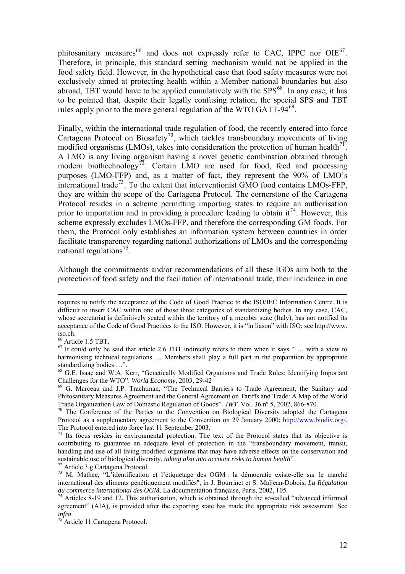phitosanitary measures<sup>[66](#page-11-0)</sup> and does not expressly refer to CAC, IPPC nor OIE<sup>[67](#page-11-1)</sup>. Therefore, in principle, this standard setting mechanism would not be applied in the food safety field. However, in the hypothetical case that food safety measures were not exclusively aimed at protecting health within a Member national boundaries but also abroad, TBT would have to be applied cumulatively with the  $SPS^{68}$  $SPS^{68}$  $SPS^{68}$ . In any case, it has to be pointed that, despite their legally confusing relation, the special SPS and TBT rules apply prior to the more general regulation of the WTO GATT-94<sup>[69](#page-11-3)</sup>.

Finally, within the international trade regulation of food, the recently entered into force Cartagena Protocol on Biosafety<sup>[70](#page-11-4)</sup>, which tackles transboundary movements of living modified organisms (LMOs), takes into consideration the protection of human health<sup>[71](#page-11-5)</sup>. A LMO is any living organism having a novel genetic combination obtained through modern biothechnology<sup>[72](#page-11-6)</sup>. Certain LMO are used for food, feed and processing purposes (LMO-FFP) and, as a matter of fact, they represent the 90% of LMO's international trade<sup>[73](#page-11-7)</sup>. To the extent that interventionist GMO food contains LMOs-FFP, they are within the scope of the Cartagena Protocol. The cornerstone of the Cartagena Protocol resides in a scheme permitting importing states to require an authorisation prior to importation and in providing a procedure leading to obtain  $it^{74}$  $it^{74}$  $it^{74}$ . However, this scheme expressly excludes LMOs-FFP, and therefore the corresponding GM foods. For them, the Protocol only establishes an information system between countries in order facilitate transparency regarding national authorizations of LMOs and the corresponding national regulations<sup> $75$ </sup>.

Although the commitments and/or recommendations of all these IGOs aim both to the protection of food safety and the facilitation of international trade, their incidence in one

66 Article 1.5 TBT.

<u>.</u>

requires to notify the acceptance of the Code of Good Practice to the ISO/IEC Information Centre. It is difficult to insert CAC within one of those three categories of standardizing bodies. In any case, CAC, whose secretariat is definitively seated within the territory of a member state (Italy), has not notified its acceptance of the Code of Good Practices to the ISO. However, it is "in liason" with ISO; see http://www. iso.ch.

<span id="page-11-1"></span><span id="page-11-0"></span> $67$  It could only be said that article 2.6 TBT indirectly refers to them when it says " ... with a view to harmonising technical regulations ... Members shall play a full part in the preparation by appropriate standardizing bodies …".

<span id="page-11-2"></span><sup>68</sup> G.E. Isaac and W.A. Kerr, "Genetically Modified Organisms and Trade Rules: Identifying Important Challenges for the WTO". *World Economy*, 2003, 29-42<br><sup>69</sup> G. Marceau and J.P. Trachtman, "The Technical Barriers to Trade Agreement, the Sanitary and

<span id="page-11-3"></span>Phitosanitary Measures Agreement and the General Agreement on Tariffs and Trade: A Map of the World<br>Trade Organization Law of Domestic Regulation of Goods". JWT. Vol. 36 n° 5, 2002, 866-870.

<span id="page-11-4"></span><sup>&</sup>lt;sup>70</sup> The Conference of the Parties to the Convention on Biological Diversity adopted the Cartagena Protocol as a supplementary agreement to the Convention on 29 January 2000; [http://www.biodiv.org/.](http://www.biodiv.org/) The Protocol entered into force last 11 September 2003.

<span id="page-11-5"></span> $71$  Its focus resides in environmental protection. The text of the Protocol states that its objective is contributing to guarantee an adequate level of protection in the "transboundary movement, transit, handling and use of all living modified organisms that may have adverse effects on the conservation and sustainable use of biological diversity, *taking also into account risks to human health*". 72 Article 3.g Cartagena Protocol.

<span id="page-11-7"></span><span id="page-11-6"></span><sup>&</sup>lt;sup>73</sup> M. Mathee, "L'identification et l'étiquetage des OGM : la démocratie existe-elle sur le marché international des aliments génétiquement modifiés", in J. Bourrinet et S. Maljean-Dobois, *La Régulation du commerce international des OGM*. La documentation française, Paris, 2002, 105.<br><sup>74</sup> Articles 8-19 and 12. This authorisation, which is obtained through the so-called "advanced informed"

<span id="page-11-8"></span>agreement" (AIA), is provided after the exporting state has made the appropriate risk assessment. See *infra*. 75 Article 11 Cartagena Protocol.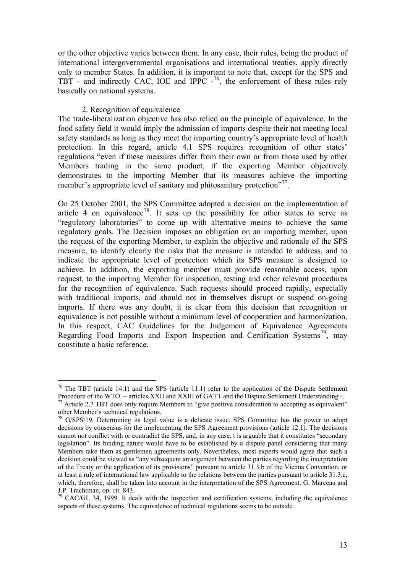or the other objective varies between them. In any case, their rules, being the product of international intergovernmental organisations and international treaties, apply directly only to member States. In addition, it is important to note that, except for the SPS and TBT - and indirectly CAC, IOE and IPPC  $-76$  $-76$ , the enforcement of these rules rely basically on national systems.

### 2. Recognition of equivalence

 $\overline{a}$ 

The trade-liberalization objective has also relied on the principle of equivalence. In the food safety field it would imply the admission of imports despite their not meeting local safety standards as long as they meet the importing country's appropriate level of health protection. In this regard, article 4.1 SPS requires recognition of other states' regulations "even if these measures differ from their own or from those used by other Members trading in the same product, if the exporting Member objectively demonstrates to the importing Member that its measures achieve the importing member's appropriate level of sanitary and phitosanitary protection"<sup>[77](#page-12-1)</sup>.

On 25 October 2001, the SPS Committee adopted a decision on the implementation of article 4 on equivalence<sup>[78](#page-12-2)</sup>. It sets up the possibility for other states to serve as "regulatory laboratories" to come up with alternative means to achieve the same regulatory goals. The Decision imposes an obligation on an importing member, upon the request of the exporting Member, to explain the objective and rationale of the SPS measure, to identify clearly the risks that the measure is intended to address, and to indicate the appropriate level of protection which its SPS measure is designed to achieve. In addition, the exporting member must provide reasonable access, upon request, to the importing Member for inspection, testing and other relevant procedures for the recognition of equivalence. Such requests should proceed rapidly, especially with traditional imports, and should not in themselves disrupt or suspend on-going imports. If there was any doubt, it is clear from this decision that recognition or equivalence is not possible without a minimum level of cooperation and harmonization. In this respect, CAC Guidelines for the Judgement of Equivalence Agreements Regarding Food Imports and Export Inspection and Certification Systems<sup>[79](#page-12-3)</sup>, may constitute a basic reference.

<span id="page-12-0"></span><sup>&</sup>lt;sup>76</sup> The TBT (article 14.1) and the SPS (article 11.1) refer to the application of the Dispute Settlement Procedure of the WTO. – articles XXII and XXIII of GATT and the Dispute Settlement Understanding -. <sup>77</sup> Article 2.7 TBT does only require Members to "give positive consideration to accepting as equivalent"

<span id="page-12-1"></span>other Member´s technical regulations.

<span id="page-12-2"></span> $78$  G/SPS/19. Determining its legal value is a delicate issue. SPS Committee has the power to adopt decisions by consensus for the implementing the SPS Agreement provisions (article 12.1). The decisions cannot not conflict with or contradict the SPS, and, in any case, t is arguable that it constitutes "secondary legislation". Its binding nature would have to be established by a dispute panel considering that many Members take them as gentlemen agreements only. Nevertheless, most experts would agree that such a decision could be viewed as "any subsequent arrangement between the parties regarding the interpretation of the Treaty or the application of its provisions" pursuant to article 31.3.b of the Vienna Convention, or at least a rule of international law applicable to the relations between the parties pursuant to article 31.3.c, which, therefore, shall be taken into account in the interpretation of the SPS Agreement. G. Marceau and J.P. Trachtman, op. cit. 843.

<span id="page-12-3"></span><sup>&</sup>lt;sup>79</sup> CAC/GL 34, 1999. It deals with the inspection and certification systems, including the equivalence aspects of these systems. The equivalence of technical regulations seems to be outside.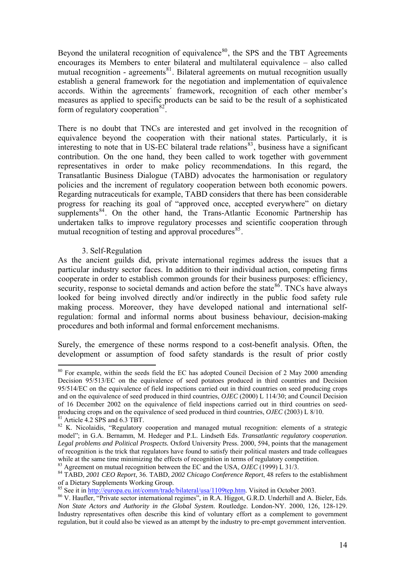Beyond the unilateral recognition of equivalence<sup>[80](#page-13-0)</sup>, the SPS and the TBT Agreements encourages its Members to enter bilateral and multilateral equivalence – also called mutual recognition - agreements<sup>[81](#page-13-1)</sup>. Bilateral agreements on mutual recognition usually establish a general framework for the negotiation and implementation of equivalence accords. Within the agreements´ framework, recognition of each other member's measures as applied to specific products can be said to be the result of a sophisticated form of regulatory cooperation<sup>[82](#page-13-2)</sup>.

There is no doubt that TNCs are interested and get involved in the recognition of equivalence beyond the cooperation with their national states. Particularly, it is interesting to note that in US-EC bilateral trade relations<sup>[83](#page-13-3)</sup>, business have a significant contribution. On the one hand, they been called to work together with government representatives in order to make policy recommendations. In this regard, the Transatlantic Business Dialogue (TABD) advocates the harmonisation or regulatory policies and the increment of regulatory cooperation between both economic powers. Regarding nutraceuticals for example, TABD considers that there has been considerable progress for reaching its goal of "approved once, accepted everywhere" on dietary supplements $84$ . On the other hand, the Trans-Atlantic Economic Partnership has undertaken talks to improve regulatory processes and scientific cooperation through mutual recognition of testing and approval procedures $^{85}$  $^{85}$  $^{85}$ .

## 3. Self-Regulation

 $\overline{a}$ 

As the ancient guilds did, private international regimes address the issues that a particular industry sector faces. In addition to their individual action, competing firms cooperate in order to establish common grounds for their business purposes: efficiency, security, response to societal demands and action before the state  $86$ . TNCs have always looked for being involved directly and/or indirectly in the public food safety rule making process. Moreover, they have developed national and international selfregulation: formal and informal norms about business behaviour, decision-making procedures and both informal and formal enforcement mechanisms.

Surely, the emergence of these norms respond to a cost-benefit analysis. Often, the development or assumption of food safety standards is the result of prior costly

<span id="page-13-0"></span><sup>&</sup>lt;sup>80</sup> For example, within the seeds field the EC has adopted Council Decision of 2 May 2000 amending Decision 95/513/EC on the equivalence of seed potatoes produced in third countries and Decision 95/514/EC on the equivalence of field inspections carried out in third countries on seed producing crops and on the equivalence of seed produced in third countries, *OJEC* (2000) L 114/30; and Council Decision of 16 December 2002 on the equivalence of field inspections carried out in third countries on seedproducing crops and on the equivalence of seed produced in third countries, *OJEC* (2003) L 8/10. <sup>81</sup> Article 4.2 SPS and 6.3 TBT.

<span id="page-13-2"></span><span id="page-13-1"></span><sup>&</sup>lt;sup>82</sup> K. Nicolaidis, "Regulatory cooperation and managed mutual recognition: elements of a strategic model"; in G.A. Bernamm, M. Hedeger and P.L. Lindseth Eds. *Transatlantic regulatory cooperation. Legal problems and Political Prospects.* Oxford University Press. 2000, 594, points that the management of recognition is the trick that regulators have found to satisfy their political masters and trade colleagues while at the same time minimizing the effects of recognition in terms of regulatory competition.<br><sup>83</sup> Agreement on mutual recognition between the EC and the USA, *OJEC* (1999) L 31/3.

<span id="page-13-4"></span><span id="page-13-3"></span><sup>&</sup>lt;sup>84</sup> TABD, *2001 CEO Report*, 36. TABD, *2002 Chicago Conference Report*, 48 refers to the establishment of a Dietary Supplements Working Group.<br><sup>85</sup> See it in http://europa.eu.int/comm/trade/bilateral/usa/1109tep.htm. Visited in October 2003.

<span id="page-13-6"></span><span id="page-13-5"></span><sup>&</sup>lt;sup>86</sup> V. Haufler, "Private sector international regimes", in R.A. Higgot, G.R.D. Underhill and A. Bieler, Eds. *Non State Actors and Authority in the Global System.* Routledge. London-NY. 2000, 126, 128-129. Industry representatives often describe this kind of voluntary effort as a complement to government regulation, but it could also be viewed as an attempt by the industry to pre-empt government intervention.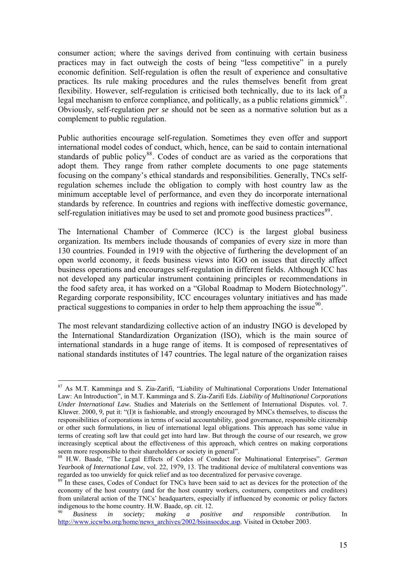consumer action; where the savings derived from continuing with certain business practices may in fact outweigh the costs of being "less competitive" in a purely economic definition. Self-regulation is often the result of experience and consultative practices. Its rule making procedures and the rules themselves benefit from great flexibility. However, self-regulation is criticised both technically, due to its lack of a legal mechanism to enforce compliance, and politically, as a public relations gimmick<sup>[87](#page-14-0)</sup>. Obviously, self-regulation *per se* should not be seen as a normative solution but as a complement to public regulation.

Public authorities encourage self-regulation. Sometimes they even offer and support international model codes of conduct, which, hence, can be said to contain international standards of public policy<sup>[88](#page-14-1)</sup>. Codes of conduct are as varied as the corporations that adopt them. They range from rather complete documents to one page statements focusing on the company's ethical standards and responsibilities. Generally, TNCs selfregulation schemes include the obligation to comply with host country law as the minimum acceptable level of performance, and even they do incorporate international standards by reference. In countries and regions with ineffective domestic governance, self-regulation initiatives may be used to set and promote good business practices $89$ .

The International Chamber of Commerce (ICC) is the largest global business organization. Its members include thousands of companies of every size in more than 130 countries. Founded in 1919 with the objective of furthering the development of an open world economy, it feeds business views into IGO on issues that directly affect business operations and encourages self-regulation in different fields. Although ICC has not developed any particular instrument containing principles or recommendations in the food safety area, it has worked on a "Global Roadmap to Modern Biotechnology". Regarding corporate responsibility, ICC encourages voluntary initiatives and has made practical suggestions to companies in order to help them approaching the issue $90$ .

The most relevant standardizing collective action of an industry INGO is developed by the International Standardization Organization (ISO), which is the main source of international standards in a huge range of items. It is composed of representatives of national standards institutes of 147 countries. The legal nature of the organization raises

<span id="page-14-0"></span><sup>&</sup>lt;sup>87</sup> As M.T. Kamminga and S. Zia-Zarifi, "Liability of Multinational Corporations Under International Law: An Introduction", in M.T. Kamminga and S. Zia-Zarifi Eds. *Liability of Multinational Corporations Under International Law.* Studies and Materials on the Settlement of International Disputes. vol. 7. Kluwer. 2000, 9, put it: "(I)t is fashionable, and strongly encouraged by MNCs themselves, to discuss the responsibilities of corporations in terms of social accountability, good governance, responsible citizenship or other such formulations, in lieu of international legal obligations. This approach has some value in terms of creating soft law that could get into hard law. But through the course of our research, we grow increasingly sceptical about the effectiveness of this approach, which centres on making corporations seem more responsible to their shareholders or society in general".

<span id="page-14-1"></span><sup>88</sup> H.W. Baade, "The Legal Effects of Codes of Conduct for Multinational Enterprises". *German Yearbook of International Law*, vol. 22, 1979, 13. The traditional device of multilateral conventions was regarded as too unwieldy for quick relief and as too decentralized for pervasive coverage.

<span id="page-14-2"></span> $89$  In these cases, Codes of Conduct for TNCs have been said to act as devices for the protection of the economy of the host country (and for the host country workers, costumers, competitors and creditors) from unilateral action of the TNCs' headquarters, especially if influenced by economic or policy factors indigenous to the home country. H.W. Baade, *op. cit.* 12.<br><sup>90</sup> *Business in society; making a positive and responsible contribution.* In

<span id="page-14-3"></span>[http://www.iccwbo.org/home/news\\_archives/2002/bisinsocdoc.asp](http://www.iccwbo.org/home/news_archives/2002/bisinsocdoc.asp). Visited in October 2003.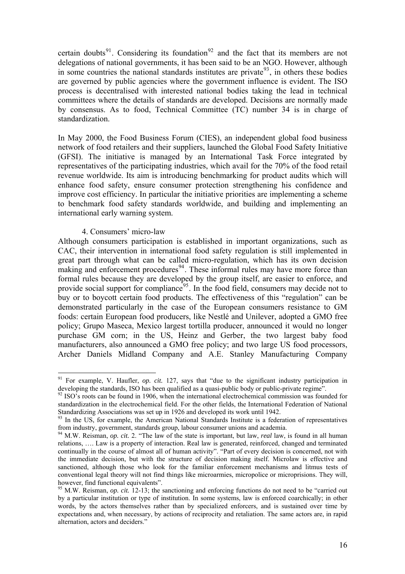certain doubts<sup>[91](#page-15-0)</sup>. Considering its foundation<sup>[92](#page-15-1)</sup> and the fact that its members are not delegations of national governments, it has been said to be an NGO. However, although in some countries the national standards institutes are private<sup>[93](#page-15-2)</sup>, in others these bodies are governed by public agencies where the government influence is evident. The ISO process is decentralised with interested national bodies taking the lead in technical committees where the details of standards are developed. Decisions are normally made by consensus. As to food, Technical Committee (TC) number 34 is in charge of standardization.

In May 2000, the Food Business Forum (CIES), an independent global food business network of food retailers and their suppliers, launched the Global Food Safety Initiative (GFSI). The initiative is managed by an International Task Force integrated by representatives of the participating industries, which avail for the 70% of the food retail revenue worldwide. Its aim is introducing benchmarking for product audits which will enhance food safety, ensure consumer protection strengthening his confidence and improve cost efficiency. In particular the initiative priorities are implementing a scheme to benchmark food safety standards worldwide, and building and implementing an international early warning system.

#### 4. Consumers' micro-law

 $\overline{a}$ 

Although consumers participation is established in important organizations, such as CAC, their intervention in international food safety regulation is still implemented in great part through what can be called micro-regulation, which has its own decision making and enforcement procedures<sup>[94](#page-15-3)</sup>. These informal rules may have more force than formal rules because they are developed by the group itself, are easier to enforce, and provide social support for compliance<sup>[95](#page-15-4)</sup>. In the food field, consumers may decide not to buy or to boycott certain food products. The effectiveness of this "regulation" can be demonstrated particularly in the case of the European consumers resistance to GM foods: certain European food producers, like Nestlé and Unilever, adopted a GMO free policy; Grupo Maseca, Mexico largest tortilla producer, announced it would no longer purchase GM corn; in the US, Heinz and Gerber, the two largest baby food manufacturers, also announced a GMO free policy; and two large US food processors, Archer Daniels Midland Company and A.E. Stanley Manufacturing Company

<span id="page-15-0"></span><sup>&</sup>lt;sup>91</sup> For example, V. Haufler, *op. cit.* 127, says that "due to the significant industry participation in developing the standards, ISO has been qualified as a quasi-public body or public-private regime".

<span id="page-15-1"></span> $92$  ISO's roots can be found in 1906, when the international electrochemical commission was founded for standardization in the electrochemical field. For the other fields, the International Federation of National Standardizing Associations was set up in 1926 and developed its work until 1942.

<span id="page-15-2"></span><sup>&</sup>lt;sup>93</sup> In the US, for example, the American National Standards Institute is a federation of representatives from industry, government, standards group, labour consumer unions and academia.

<span id="page-15-3"></span><sup>94</sup> M.W. Reisman, *op. cit.* 2. "The law of the state is important, but law, *real* law, is found in all human relations, …. Law is a property of interaction. Real law is generated, reinforced, changed and terminated continually in the course of almost all of human activity". "Part of every decision is concerned, not with the immediate decision, but with the structure of decision making itself. Microlaw is effective and sanctioned, although those who look for the familiar enforcement mechanisms and litmus tests of conventional legal theory will not find things like microarmies, micropolice or microprisions. They will, however, find functional equivalents".

<span id="page-15-4"></span><sup>95</sup> M.W. Reisman, *op. cit.* 12-13; the sanctioning and enforcing functions do not need to be "carried out by a particular institution or type of institution. In some systems, law is enforced coarchically; in other words, by the actors themselves rather than by specialized enforcers, and is sustained over time by expectations and, when necessary, by actions of reciprocity and retaliation. The same actors are, in rapid alternation, actors and deciders."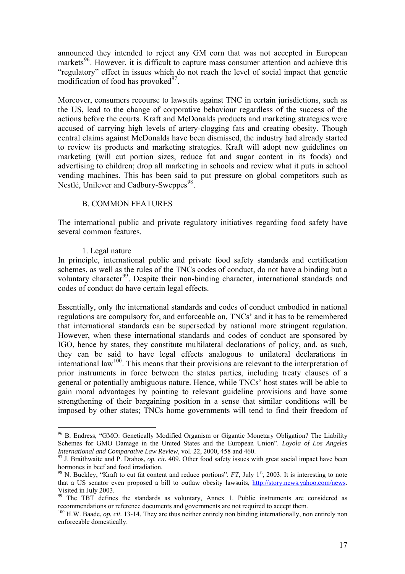announced they intended to reject any GM corn that was not accepted in European markets<sup>[96](#page-16-0)</sup>. However, it is difficult to capture mass consumer attention and achieve this "regulatory" effect in issues which do not reach the level of social impact that genetic modification of food has provoked $^{97}$  $^{97}$  $^{97}$ .

Moreover, consumers recourse to lawsuits against TNC in certain jurisdictions, such as the US, lead to the change of corporative behaviour regardless of the success of the actions before the courts. Kraft and McDonalds products and marketing strategies were accused of carrying high levels of artery-clogging fats and creating obesity. Though central claims against McDonalds have been dismissed, the industry had already started to review its products and marketing strategies. Kraft will adopt new guidelines on marketing (will cut portion sizes, reduce fat and sugar content in its foods) and advertising to children; drop all marketing in schools and review what it puts in school vending machines. This has been said to put pressure on global competitors such as Nestlé, Unilever and Cadbury-Sweppes<sup>[98](#page-16-2)</sup>.

## B. COMMON FEATURES

The international public and private regulatory initiatives regarding food safety have several common features.

# 1. Legal nature

 $\overline{a}$ 

In principle, international public and private food safety standards and certification schemes, as well as the rules of the TNCs codes of conduct, do not have a binding but a voluntary character<sup>[99](#page-16-3)</sup>. Despite their non-binding character, international standards and codes of conduct do have certain legal effects.

Essentially, only the international standards and codes of conduct embodied in national regulations are compulsory for, and enforceable on, TNCs' and it has to be remembered that international standards can be superseded by national more stringent regulation. However, when these international standards and codes of conduct are sponsored by IGO, hence by states, they constitute multilateral declarations of policy, and, as such, they can be said to have legal effects analogous to unilateral declarations in international law<sup>[100](#page-16-4)</sup>. This means that their provisions are relevant to the interpretation of prior instruments in force between the states parties, including treaty clauses of a general or potentially ambiguous nature. Hence, while TNCs' host states will be able to gain moral advantages by pointing to relevant guideline provisions and have some strengthening of their bargaining position in a sense that similar conditions will be imposed by other states; TNCs home governments will tend to find their freedom of

<span id="page-16-0"></span><sup>&</sup>lt;sup>96</sup> B. Endress, "GMO: Genetically Modified Organism or Gigantic Monetary Obligation? The Liability Schemes for GMO Damage in the United States and the European Union". *Loyola of Los Angeles International and Comparative Law Review*, vol. 22, 2000, 458 and 460.

<span id="page-16-1"></span><sup>&</sup>lt;sup>97</sup> J. Braithwaite and P. Drahos, *op. cit.* 409. Other food safety issues with great social impact have been hormones in beef and food irradiation.

<span id="page-16-2"></span><sup>&</sup>lt;sup>98</sup> N. Buckley, "Kraft to cut fat content and reduce portions". *FT*, July 1<sup>st</sup>, 2003. It is interesting to note that a US senator even proposed a bill to outlaw obesity lawsuits, [http://story.news.yahoo.com/news.](http://story.news.yahoo.com/news) Visited in July 2003.

<span id="page-16-3"></span><sup>&</sup>lt;sup>99</sup> The TBT defines the standards as voluntary, Annex 1. Public instruments are considered as recommendations or reference documents and governments are not required to accept them.

<span id="page-16-4"></span><sup>&</sup>lt;sup>100</sup> H.W. Baade, *op. cit.* 13-14. They are thus neither entirely non binding internationally, non entirely non enforceable domestically.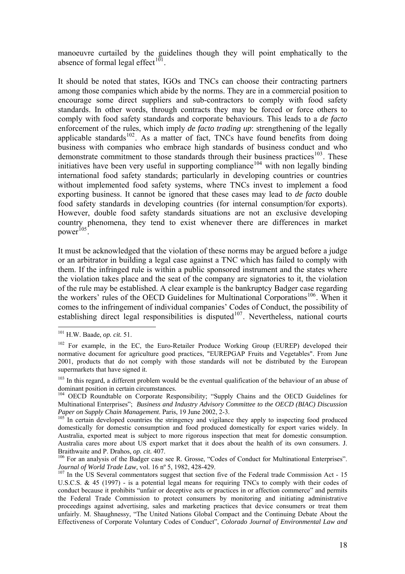manoeuvre curtailed by the guidelines though they will point emphatically to the absence of formal legal effect<sup> $101$ </sup>.

It should be noted that states, IGOs and TNCs can choose their contracting partners among those companies which abide by the norms. They are in a commercial position to encourage some direct suppliers and sub-contractors to comply with food safety standards. In other words, through contracts they may be forced or force others to comply with food safety standards and corporate behaviours. This leads to a *de facto* enforcement of the rules, which imply *de facto trading up*: strengthening of the legally applicable standards $102$ . As a matter of fact, TNCs have found benefits from doing business with companies who embrace high standards of business conduct and who demonstrate commitment to those standards through their business practices<sup>[103](#page-17-2)</sup>. These initiatives have been very useful in supporting compliance<sup>[104](#page-17-3)</sup> with non legally binding international food safety standards; particularly in developing countries or countries without implemented food safety systems, where TNCs invest to implement a food exporting business. It cannot be ignored that these cases may lead to *de facto* double food safety standards in developing countries (for internal consumption/for exports). However, double food safety standards situations are not an exclusive developing country phenomena, they tend to exist whenever there are differences in market power<sup>[105](#page-17-4)</sup>

It must be acknowledged that the violation of these norms may be argued before a judge or an arbitrator in building a legal case against a TNC which has failed to comply with them. If the infringed rule is within a public sponsored instrument and the states where the violation takes place and the seat of the company are signatories to it, the violation of the rule may be established. A clear example is the bankruptcy Badger case regarding the workers' rules of the OECD Guidelines for Multinational Corporations<sup>[106](#page-17-5)</sup>. When it comes to the infringement of individual companies' Codes of Conduct, the possibility of establishing direct legal responsibilities is disputed $107$ . Nevertheless, national courts

<span id="page-17-0"></span><sup>101</sup> H.W. Baade, *op. cit.* 51.

<span id="page-17-1"></span><sup>&</sup>lt;sup>102</sup> For example, in the EC, the Euro-Retailer Produce Working Group (EUREP) developed their normative document for agriculture good practices, "EUREPGAP Fruits and Vegetables". From June 2001, products that do not comply with those standards will not be distributed by the European supermarkets that have signed it.

<span id="page-17-2"></span><sup>&</sup>lt;sup>103</sup> In this regard, a different problem would be the eventual qualification of the behaviour of an abuse of dominant position in certain circumstances.

<span id="page-17-3"></span><sup>&</sup>lt;sup>104</sup> OECD Roundtable on Corporate Responsibility; "Supply Chains and the OECD Guidelines for Multinational Enterprises"; *Business and Industry Advisory Committee to the OECD (BIAC) Discussion Paper on Supply Chain Management*. Paris, 19 June 2002, 2-3.<br><sup>105</sup> In certain developed countries the stringency and vigilance they apply to inspecting food produced

<span id="page-17-4"></span>domestically for domestic consumption and food produced domestically for export varies widely. In Australia, exported meat is subject to more rigorous inspection that meat for domestic consumption. Australia cares more about US export market that it does about the health of its own consumers. J.

<span id="page-17-5"></span>Braithwaite and P. Drahos, *op. cit.* 407.<br><sup>106</sup> For an analysis of the Badger case see R. Grosse, "Codes of Conduct for Multinational Enterprises".<br>*Journal of World Trade Law*, vol. 16 n° 5, 1982, 428-429.

<span id="page-17-6"></span>*Joveman by World Traditions Law, 1982*, 1987, 1982, 1982, 1982, 1982, 1982, 1982, 1983, 1982, 107 In the US Several commentators suggest that section five of the Federal trade Commission Act - 15 U.S.C.S. & 45 (1997) - is a potential legal means for requiring TNCs to comply with their codes of conduct because it prohibits "unfair or deceptive acts or practices in or affection commerce" and permits the Federal Trade Commission to protect consumers by monitoring and initiating administrative proceedings against advertising, sales and marketing practices that device consumers or treat them unfairly. M. Shaughnessy, "The United Nations Global Compact and the Continuing Debate About the Effectiveness of Corporate Voluntary Codes of Conduct", *Colorado Journal of Environmental Law and*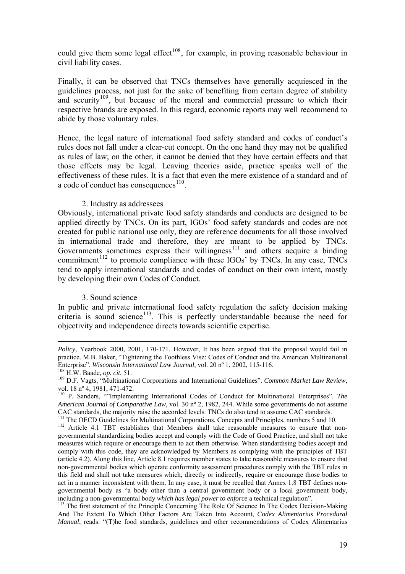could give them some legal effect<sup>[108](#page-18-0)</sup>, for example, in proving reasonable behaviour in civil liability cases.

Finally, it can be observed that TNCs themselves have generally acquiesced in the guidelines process, not just for the sake of benefiting from certain degree of stability and security<sup>[109](#page-18-1)</sup>, but because of the moral and commercial pressure to which their respective brands are exposed. In this regard, economic reports may well recommend to abide by those voluntary rules.

Hence, the legal nature of international food safety standard and codes of conduct's rules does not fall under a clear-cut concept. On the one hand they may not be qualified as rules of law; on the other, it cannot be denied that they have certain effects and that those effects may be legal. Leaving theories aside, practice speaks well of the effectiveness of these rules. It is a fact that even the mere existence of a standard and of a code of conduct has consequences $^{110}$  $^{110}$  $^{110}$ .

#### 2. Industry as addressees

Obviously, international private food safety standards and conducts are designed to be applied directly by TNCs. On its part, IGOs' food safety standards and codes are not created for public national use only, they are reference documents for all those involved in international trade and therefore, they are meant to be applied by TNCs. Governments sometimes express their willingness<sup>[111](#page-18-3)</sup> and others acquire a binding commitment<sup>[112](#page-18-4)</sup> to promote compliance with these  $IGOs'$  by TNCs. In any case, TNCs tend to apply international standards and codes of conduct on their own intent, mostly by developing their own Codes of Conduct.

### 3. Sound science

In public and private international food safety regulation the safety decision making criteria is sound science<sup>[113](#page-18-5)</sup>. This is perfectly understandable because the need for objectivity and independence directs towards scientific expertise.

<u>.</u>

*Policy*, Yearbook 2000, 2001, 170-171. However, It has been argued that the proposal would fail in practice. M.B. Baker, "Tightening the Toothless Vise: Codes of Conduct and the American Multinational Enterprise". Wisconsin International Law Journal, vol. 20 nº 1, 2002, 115-116.<br><sup>108</sup> H.W. Baade, op. cit. 51.<br><sup>109</sup> D.F. Vagts, "Multinational Corporations and International Guidelines". *Common Market Law Review*,

<span id="page-18-0"></span>

<span id="page-18-1"></span>vol. 18 nº 4, 1981, 471-472.

<span id="page-18-2"></span><sup>110</sup> P. Sanders, ""Implementing International Codes of Conduct for Multinational Enterprises". *The American Journal of Comparative Law*, vol. 30 nº 2, 1982, 244. While some governments do not assume

<span id="page-18-3"></span>CAC standards, the majority raise the accorded levels. TNCs do also tend to assume CAC standards.<br><sup>111</sup> The OECD Guidelines for Multinational Corporations, Concepts and Principles, numbers 5 and 10.<br><sup>112</sup> Article 4.1 TBT e governmental standardizing bodies accept and comply with the Code of Good Practice, and shall not take

<span id="page-18-4"></span>measures which require or encourage them to act them otherwise. When standardising bodies accept and comply with this code, they are acknowledged by Members as complying with the principles of TBT (article 4.2). Along this line, Article 8.1 requires member states to take reasonable measures to ensure that non-governmental bodies which operate conformity assessment procedures comply with the TBT rules in this field and shall not take measures which, directly or indirectly, require or encourage those bodies to act in a manner inconsistent with them. In any case, it must be recalled that Annex 1.8 TBT defines nongovernmental body as "a body other than a central government body or a local government body, including a non-governmental body *which has legal power to enforce* a technical regulation". 113 The first statement of the Principle Concerning The Role Of Science In The Codex Decision-Making

<span id="page-18-5"></span>And The Extent To Which Other Factors Are Taken Into Account, *Codex Alimentarius Procedural Manual*, reads: "(T)he food standards, guidelines and other recommendations of Codex Alimentarius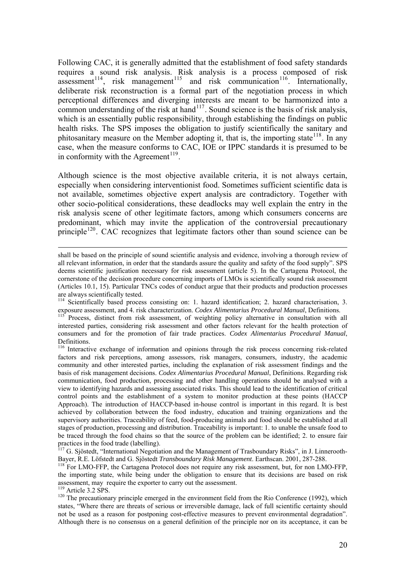Following CAC, it is generally admitted that the establishment of food safety standards requires a sound risk analysis. Risk analysis is a process composed of risk assessment<sup>[114](#page-19-0)</sup>, risk management<sup>[115](#page-19-1)</sup> and risk communication<sup>[116](#page-19-2)</sup>. Internationally, deliberate risk reconstruction is a formal part of the negotiation process in which perceptional differences and diverging interests are meant to be harmonized into a common understanding of the risk at hand<sup>[117](#page-19-3)</sup>. Sound science is the basis of risk analysis, which is an essentially public responsibility, through establishing the findings on public health risks. The SPS imposes the obligation to justify scientifically the sanitary and phitosanitary measure on the Member adopting it, that is, the importing state<sup>[118](#page-19-4)</sup>. In any case, when the measure conforms to CAC, IOE or IPPC standards it is presumed to be in conformity with the Agreement<sup>[119](#page-19-5)</sup>.

Although science is the most objective available criteria, it is not always certain, especially when considering interventionist food. Sometimes sufficient scientific data is not available, sometimes objective expert analysis are contradictory. Together with other socio-political considerations, these deadlocks may well explain the entry in the risk analysis scene of other legitimate factors, among which consumers concerns are predominant, which may invite the application of the controversial precautionary principle<sup>[120](#page-19-6)</sup>. CAC recognizes that legitimate factors other than sound science can be

<span id="page-19-0"></span><sup>114</sup> Scientifically based process consisting on: 1. hazard identification; 2. hazard characterisation, 3. exposure assessment, and 4. risk characterization. *Codex Alimentarius Procedural Manual*. Definitions.

<span id="page-19-1"></span>exposure assessment, and 4. running and 4. respectively. The manual Manual Manual Manual Manual, Definition and <br><sup>115</sup> Process, distinct from risk assessment, of weighting policy alternative in consultation with all interested parties, considering risk assessment and other factors relevant for the health protection of consumers and for the promotion of fair trade practices. *Codex Alimentarius Procedural Manual*, Definitions.

<span id="page-19-2"></span><sup>116</sup> Interactive exchange of information and opinions through the risk process concerning risk-related factors and risk perceptions, among assessors, risk managers, consumers, industry, the academic community and other interested parties, including the explanation of risk assessment findings and the basis of risk management decisions. *Codex Alimentarius Procedural Manual*, Definitions. Regarding risk communication, food production, processing and other handling operations should be analysed with a view to identifying hazards and assessing associated risks. This should lead to the identification of critical control points and the establishment of a system to monitor production at these points (HACCP Approach). The introduction of HACCP-based in-house control is important in this regard. It is best achieved by collaboration between the food industry, education and training organizations and the supervisory authorities. Traceability of feed, food-producing animals and food should be established at all stages of production, processing and distribution. Traceability is important: 1. to unable the unsafe food to be traced through the food chains so that the source of the problem can be identified; 2. to ensure fair practices in the food trade (labelling).

<span id="page-19-3"></span><sup>117</sup> G. Sjöstedt, "International Negotiation and the Management of Trasboundary Risks", in J. Linnerooth-Bayer, R.E. Löfstedt and G. Sjöstedt *Transboundary Risk Management*. Earthscan. 2001, 287-288. 118 For LMO-FFP, the Cartagena Protocol does not require any risk assessment, but, for non LMO-FFP,

<span id="page-19-4"></span>the importing state, while being under the obligation to ensure that its decisions are based on risk assessment, may require the exporter to carry out the assessment.<br><sup>119</sup> Article 3.2 SPS.

<span id="page-19-6"></span><span id="page-19-5"></span><sup>120</sup> The precautionary principle emerged in the environment field from the Rio Conference (1992), which states, "Where there are threats of serious or irreversible damage, lack of full scientific certainty should not be used as a reason for postponing cost-effective measures to prevent environmental degradation". Although there is no consensus on a general definition of the principle nor on its acceptance, it can be

shall be based on the principle of sound scientific analysis and evidence, involving a thorough review of all relevant information, in order that the standards assure the quality and safety of the food supply". SPS deems scientific justification necessary for risk assessment (article 5). In the Cartagena Protocol, the cornerstone of the decision procedure concerning imports of LMOs is scientifically sound risk assessment (Articles 10.1, 15). Particular TNCs codes of conduct argue that their products and production processes are always scientifically tested.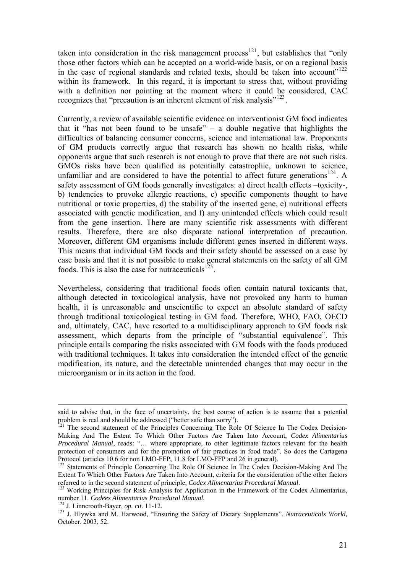taken into consideration in the risk management process<sup>[121](#page-20-0)</sup>, but establishes that "only" those other factors which can be accepted on a world-wide basis, or on a regional basis in the case of regional standards and related texts, should be taken into account"<sup>[122](#page-20-1)</sup> within its framework. In this regard, it is important to stress that, without providing with a definition nor pointing at the moment where it could be considered, CAC recognizes that "precaution is an inherent element of risk analysis"<sup>[123](#page-20-2)</sup>.

Currently, a review of available scientific evidence on interventionist GM food indicates that it "has not been found to be unsafe" – a double negative that highlights the difficulties of balancing consumer concerns, science and international law. Proponents of GM products correctly argue that research has shown no health risks, while opponents argue that such research is not enough to prove that there are not such risks. GMOs risks have been qualified as potentially catastrophic, unknown to science, unfamiliar and are considered to have the potential to affect future generations<sup>[124](#page-20-3)</sup>. A safety assessment of GM foods generally investigates: a) direct health effects –toxicity-, b) tendencies to provoke allergic reactions, c) specific components thought to have nutritional or toxic properties, d) the stability of the inserted gene, e) nutritional effects associated with genetic modification, and f) any unintended effects which could result from the gene insertion. There are many scientific risk assessments with different results. Therefore, there are also disparate national interpretation of precaution. Moreover, different GM organisms include different genes inserted in different ways. This means that individual GM foods and their safety should be assessed on a case by case basis and that it is not possible to make general statements on the safety of all GM foods. This is also the case for nutraceuticals $^{125}$  $^{125}$  $^{125}$ .

Nevertheless, considering that traditional foods often contain natural toxicants that, although detected in toxicological analysis, have not provoked any harm to human health, it is unreasonable and unscientific to expect an absolute standard of safety through traditional toxicological testing in GM food. Therefore, WHO, FAO, OECD and, ultimately, CAC, have resorted to a multidisciplinary approach to GM foods risk assessment, which departs from the principle of "substantial equivalence". This principle entails comparing the risks associated with GM foods with the foods produced with traditional techniques. It takes into consideration the intended effect of the genetic modification, its nature, and the detectable unintended changes that may occur in the microorganism or in its action in the food.

said to advise that, in the face of uncertainty, the best course of action is to assume that a potential problem is real and should be addressed ("better safe than sorry").

<span id="page-20-0"></span><sup>&</sup>lt;sup>121</sup> The second statement of the Principles Concerning The Role Of Science In The Codex Decision-Making And The Extent To Which Other Factors Are Taken Into Account, *Codex Alimentarius Procedural Manual*, reads: "… where appropriate, to other legitimate factors relevant for the health protection of consumers and for the promotion of fair practices in food trade". So does the Cartagena Protocol (articles 10.6 for non LMO-FFP, 11.8 for LMO-FFP and 26 in general).

<span id="page-20-1"></span><sup>122</sup> Statements of Principle Concerning The Role Of Science In The Codex Decision-Making And The Extent To Which Other Factors Are Taken Into Account, criteria for the consideration of the other factors

<span id="page-20-2"></span>referred to in the second statement of principle, *Codex Alimentarius Procedural Manual*.<br><sup>123</sup> Working Principles for Risk Analysis for Application in the Framework of the Codex Alimentarius,<br>number 11. *Codees Alimentari* 

<span id="page-20-4"></span><span id="page-20-3"></span><sup>&</sup>lt;sup>124</sup> J. Linnerooth-Bayer, *op. cit.* 11-12.<br><sup>125</sup> J. Hlywka and M. Harwood, "Ensuring the Safety of Dietary Supplements". *Nutraceuticals World*, October. 2003, 52.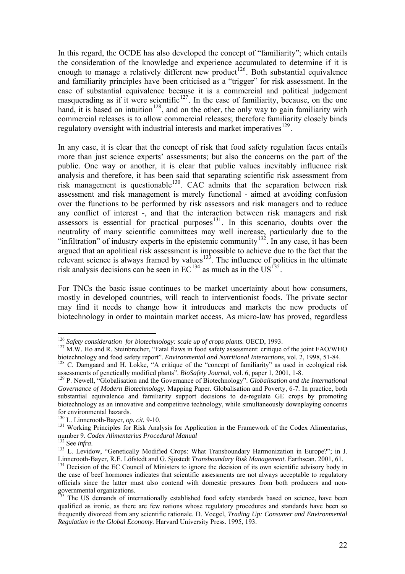In this regard, the OCDE has also developed the concept of "familiarity"; which entails the consideration of the knowledge and experience accumulated to determine if it is enough to manage a relatively different new product<sup>[126](#page-21-0)</sup>. Both substantial equivalence and familiarity principles have been criticised as a "trigger" for risk assessment. In the case of substantial equivalence because it is a commercial and political judgement masquerading as if it were scientific<sup>[127](#page-21-1)</sup>. In the case of familiarity, because, on the one hand, it is based on intuition<sup>[128](#page-21-2)</sup>, and on the other, the only way to gain familiarity with commercial releases is to allow commercial releases; therefore familiarity closely binds regulatory oversight with industrial interests and market imperatives $129$ .

In any case, it is clear that the concept of risk that food safety regulation faces entails more than just science experts' assessments; but also the concerns on the part of the public. One way or another, it is clear that public values inevitably influence risk analysis and therefore, it has been said that separating scientific risk assessment from risk management is questionable<sup>[130](#page-21-4)</sup>. CAC admits that the separation between risk assessment and risk management is merely functional - aimed at avoiding confusion over the functions to be performed by risk assessors and risk managers and to reduce any conflict of interest -, and that the interaction between risk managers and risk assessors is essential for practical purposes<sup>[131](#page-21-5)</sup>. In this scenario, doubts over the neutrality of many scientific committees may well increase, particularly due to the "infiltration" of industry experts in the epistemic community<sup>[132](#page-21-6)</sup>. In any case, it has been argued that an apolitical risk assessment is impossible to achieve due to the fact that the relevant science is always framed by values $133$ . The influence of politics in the ultimate risk analysis decisions can be seen in  $EC^{134}$  $EC^{134}$  $EC^{134}$  as much as in the US<sup>[135](#page-21-9)</sup>.

For TNCs the basic issue continues to be market uncertainty about how consumers, mostly in developed countries, will reach to interventionist foods. The private sector may find it needs to change how it introduces and markets the new products of biotechnology in order to maintain market access. As micro-law has proved, regardless

<span id="page-21-0"></span> $126$  Safety consideration for biotechnology: scale up of crops plants. OECD, 1993.

<span id="page-21-1"></span><sup>&</sup>lt;sup>127</sup> M.W. Ho and R. Steinbrecher, "Fatal flaws in food safety assessment: critique of the joint FAO/WHO biotechnology and food safety report". *Environmental and Nutritional Interactions*, vol. 2, 1998, 51-84. <sup>128</sup> C. Damgaard and H. Lokke, "A critique of the "concept of familiarity" as used in ecological risk

<span id="page-21-2"></span>assessments of genetically modified plants". *BioSafety Journal*, vol. 6, paper 1, 2001, 1-8.<br><sup>129</sup> P. Newell, "Globalisation and the Governance of Biotechnology". *Globalisation and the International* 

<span id="page-21-3"></span>*Governance of Modern Biotechnology*. Mapping Paper. Globalisation and Poverty, 6-7. In practice, both substantial equivalence and familiarity support decisions to de-regulate GE crops by promoting biotechnology as an innovative and competitive technology, while simultaneously downplaying concerns for environmental hazards.<br><sup>130</sup> L. Linnerooth-Bayer, *op. cit.* 9-10.

<span id="page-21-5"></span><span id="page-21-4"></span><sup>&</sup>lt;sup>131</sup> Working Principles for Risk Analysis for Application in the Framework of the Codex Alimentarius, number 9. *Codex Alimentarius Procedural Manual* 

<span id="page-21-7"></span><span id="page-21-6"></span><sup>&</sup>lt;sup>132</sup> See *infra*.<br><sup>133</sup> L. Levidow, "Genetically Modified Crops: What Transboundary Harmonization in Europe?"; in J. Linnerooth-Bayer, R.E. Löfstedt and G. Sjöstedt *Transboundary Risk Management*. Earthscan. 2001, 61. 134 Decision of the EC Council of Ministers to ignore the decision of its own scientific advisory body in

<span id="page-21-8"></span>the case of beef hormones indicates that scientific assessments are not always acceptable to regulatory officials since the latter must also contend with domestic pressures from both producers and nongovernmental organizations.

<span id="page-21-9"></span><sup>&</sup>lt;sup>135</sup> The US demands of internationally established food safety standards based on science, have been qualified as ironic, as there are few nations whose regulatory procedures and standards have been so frequently divorced from any scientific rationale. D. Voegel, *Trading Up: Consumer and Environmental Regulation in the Global Economy.* Harvard University Press. 1995, 193.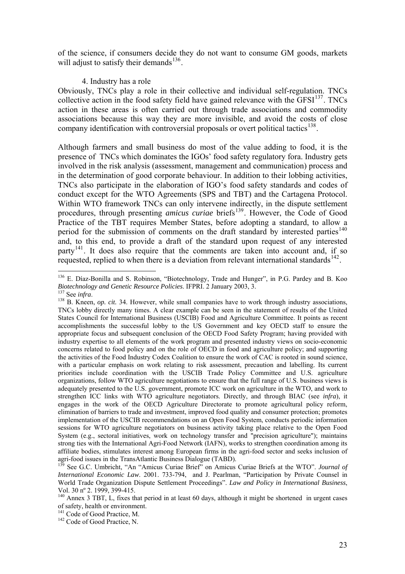of the science, if consumers decide they do not want to consume GM goods, markets will adjust to satisfy their demands<sup>[136](#page-22-0)</sup>.

#### 4. Industry has a role

Obviously, TNCs play a role in their collective and individual self-regulation. TNCs collective action in the food safety field have gained relevance with the  $GFSI<sup>137</sup>$  $GFSI<sup>137</sup>$  $GFSI<sup>137</sup>$ . TNCs action in these areas is often carried out through trade associations and commodity associations because this way they are more invisible, and avoid the costs of close company identification with controversial proposals or overt political tactics<sup>[138](#page-22-2)</sup>.

Although farmers and small business do most of the value adding to food, it is the presence of TNCs which dominates the IGOs' food safety regulatory fora. Industry gets involved in the risk analysis (assessment, management and communication) process and in the determination of good corporate behaviour. In addition to their lobbing activities, TNCs also participate in the elaboration of IGO's food safety standards and codes of conduct except for the WTO Agreements (SPS and TBT) and the Cartagena Protocol. Within WTO framework TNCs can only intervene indirectly, in the dispute settlement procedures, through presenting *amicus curiae* briefs<sup>[139](#page-22-3)</sup>. However, the Code of Good Practice of the TBT requires Member States, before adopting a standard, to allow a period for the submission of comments on the draft standard by interested parties<sup>[140](#page-22-4)</sup> and, to this end, to provide a draft of the standard upon request of any interested  $partv<sup>141</sup>$  $partv<sup>141</sup>$  $partv<sup>141</sup>$ . It does also require that the comments are taken into account and, if so requested, replied to when there is a deviation from relevant international standards  $142$ .

<span id="page-22-0"></span> $136$  E. Díaz-Bonilla and S. Robinson, "Biotechnology, Trade and Hunger", in P.G. Pardey and B. Koo Biotechnology and Genetic Resource Policies. IFPRI. 2 January 2003, 3.

<span id="page-22-2"></span><span id="page-22-1"></span><sup>&</sup>lt;sup>Biot</sup> See *infra*.<br><sup>138</sup> B. Kneen, *op. cit.* 34. However, while small companies have to work through industry associations, TNCs lobby directly many times. A clear example can be seen in the statement of results of the United States Council for International Business (USCIB) Food and Agriculture Committee. It points as recent accomplishments the successful lobby to the US Government and key OECD staff to ensure the appropriate focus and subsequent conclusion of the OECD Food Safety Program; having provided with industry expertise to all elements of the work program and presented industry views on socio-economic concerns related to food policy and on the role of OECD in food and agriculture policy; and supporting the activities of the Food Industry Codex Coalition to ensure the work of CAC is rooted in sound science, with a particular emphasis on work relating to risk assessment, precaution and labelling. Its current priorities include coordination with the USCIB Trade Policy Committee and U.S. agriculture organizations, follow WTO agriculture negotiations to ensure that the full range of U.S. business views is adequately presented to the U.S. government, promote ICC work on agriculture in the WTO, and work to strengthen ICC links with WTO agriculture negotiators. Directly, and through BIAC (see *infra*), it engages in the work of the OECD Agriculture Directorate to promote agricultural policy reform, elimination of barriers to trade and investment, improved food quality and consumer protection; promotes implementation of the USCIB recommendations on an Open Food System, conducts periodic information sessions for WTO agriculture negotiators on business activity taking place relative to the Open Food System (e.g., sectoral initiatives, work on technology transfer and "precision agriculture"); maintains strong ties with the International Agri-Food Network (IAFN), works to strengthen coordination among its affiliate bodies, stimulates interest among European firms in the agri-food sector and seeks inclusion of agri-food issues in the TransAtlantic Business Dialogue (TABD).

<span id="page-22-3"></span><sup>139</sup> See G.C. Umbricht, "An "Amicus Curiae Brief" on Amicus Curiae Briefs at the WTO". *Journal of International Economic Law*. 2001. 733-794, and J. Pearlman, "Participation by Private Counsel in World Trade Organization Dispute Settlement Proceedings". *Law and Policy in International Business*, Vol. 30 nº 2. 1999, 399-415.

<span id="page-22-4"></span><sup>&</sup>lt;sup>140</sup> Annex 3 TBT, L, fixes that period in at least 60 days, although it might be shortened in urgent cases of safety, health or environment.<br><sup>141</sup> Code of Good Practice, M.

<span id="page-22-5"></span><sup>&</sup>lt;sup>142</sup> Code of Good Practice, N.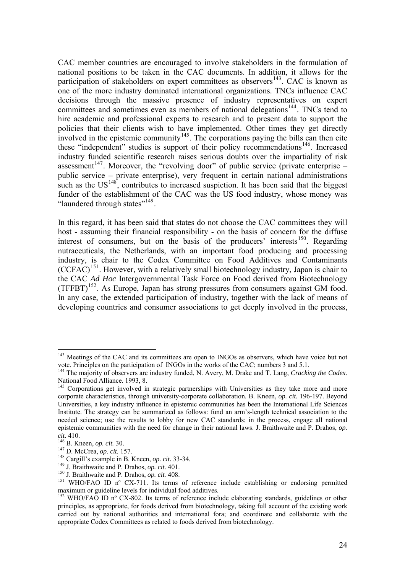CAC member countries are encouraged to involve stakeholders in the formulation of national positions to be taken in the CAC documents. In addition, it allows for the participation of stakeholders on expert committees as observers<sup>[143](#page-23-0)</sup>. CAC is known as one of the more industry dominated international organizations. TNCs influence CAC decisions through the massive presence of industry representatives on expert committees and sometimes even as members of national delegations<sup>[144](#page-23-1)</sup>. TNCs tend to hire academic and professional experts to research and to present data to support the policies that their clients wish to have implemented. Other times they get directly involved in the epistemic community<sup>[145](#page-23-2)</sup>. The corporations paying the bills can then cite these "independent" studies is support of their policy recommendations<sup>[146](#page-23-3)</sup>. Increased industry funded scientific research raises serious doubts over the impartiality of risk assessment<sup>[147](#page-23-4)</sup>. Moreover, the "revolving door" of public service (private enterprise – public service – private enterprise), very frequent in certain national administrations such as the  $US^{148}$  $US^{148}$  $US^{148}$ , contributes to increased suspiction. It has been said that the biggest funder of the establishment of the CAC was the US food industry, whose money was "laundered through states"<sup>[149](#page-23-6)</sup>.

In this regard, it has been said that states do not choose the CAC committees they will host - assuming their financial responsibility - on the basis of concern for the diffuse interest of consumers, but on the basis of the producers' interests<sup>[150](#page-23-7)</sup>. Regarding nutraceuticals, the Netherlands, with an important food producing and processing industry, is chair to the Codex Committee on Food Additives and Contaminants  $(CCFAC)^{151}$  $(CCFAC)^{151}$  $(CCFAC)^{151}$ . However, with a relatively small biotechnology industry, Japan is chair to the CAC *Ad Hoc* Intergovernmental Task Force on Food derived from Biotechnology  $(TFFBT)^{152}$  $(TFFBT)^{152}$  $(TFFBT)^{152}$ . As Europe, Japan has strong pressures from consumers against GM food. In any case, the extended participation of industry, together with the lack of means of developing countries and consumer associations to get deeply involved in the process,

<span id="page-23-0"></span><sup>&</sup>lt;sup>143</sup> Meetings of the CAC and its committees are open to INGOs as observers, which have voice but not vote. Principles on the participation of INGOs in the works of the CAC; numbers 3 and 5.1.

<span id="page-23-1"></span><sup>144</sup> The majority of observers are industry funded, N. Avery, M. Drake and T. Lang, *Cracking the Codex*. National Food Alliance. 1993, 8.

<span id="page-23-2"></span><sup>&</sup>lt;sup>145</sup> Corporations get involved in strategic partnerships with Universities as they take more and more corporate characteristics, through university-corporate collaboration. B. Kneen, *op. cit.* 196-197. Beyond Universities, a key industry influence in epistemic communities has been the International Life Sciences Institute. The strategy can be summarized as follows: fund an arm's-length technical association to the needed science; use the results to lobby for new CAC standards; in the process, engage all national epistemic communities with the need for change in their national laws. J. Braithwaite and P. Drahos, *op.* 

<span id="page-23-4"></span>

<span id="page-23-5"></span>

<span id="page-23-6"></span>

<span id="page-23-8"></span><span id="page-23-7"></span>

<span id="page-23-3"></span><sup>&</sup>lt;sup>146</sup> B. Kneen, *op. cit.* 30.<br>
<sup>147</sup> D. McCrea, *op. cit.* 157.<br>
<sup>148</sup> Cargill's example in B. Kneen, *op. cit.* 33-34.<br>
<sup>149</sup> J. Braithwaite and P. Drahos, *op. cit.* 401.<br>
<sup>150</sup> J. Braithwaite and P. Drahos, *op. cit.* maximum or guideline levels for individual food additives.

<span id="page-23-9"></span><sup>&</sup>lt;sup>152</sup> WHO/FAO ID n° CX-802. Its terms of reference include elaborating standards, guidelines or other principles, as appropriate, for foods derived from biotechnology, taking full account of the existing work carried out by national authorities and international fora; and coordinate and collaborate with the appropriate Codex Committees as related to foods derived from biotechnology.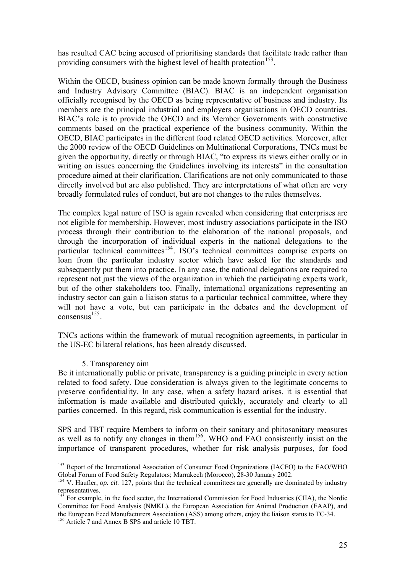has resulted CAC being accused of prioritising standards that facilitate trade rather than providing consumers with the highest level of health protection<sup>[153](#page-24-0)</sup>.

Within the OECD, business opinion can be made known formally through the Business and Industry Advisory Committee (BIAC). BIAC is an independent organisation officially recognised by the OECD as being representative of business and industry. Its members are the principal industrial and employers organisations in OECD countries. BIAC's role is to provide the OECD and its Member Governments with constructive comments based on the practical experience of the business community. Within the OECD, BIAC participates in the different food related OECD activities. Moreover, after the 2000 review of the OECD Guidelines on Multinational Corporations, TNCs must be given the opportunity, directly or through BIAC, "to express its views either orally or in writing on issues concerning the Guidelines involving its interests" in the consultation procedure aimed at their clarification. Clarifications are not only communicated to those directly involved but are also published. They are interpretations of what often are very broadly formulated rules of conduct, but are not changes to the rules themselves.

The complex legal nature of ISO is again revealed when considering that enterprises are not eligible for membership. However, most industry associations participate in the ISO process through their contribution to the elaboration of the national proposals, and through the incorporation of individual experts in the national delegations to the particular technical committees<sup>[154](#page-24-1)</sup>. ISO's technical committees comprise experts on loan from the particular industry sector which have asked for the standards and subsequently put them into practice. In any case, the national delegations are required to represent not just the views of the organization in which the participating experts work, but of the other stakeholders too. Finally, international organizations representing an industry sector can gain a liaison status to a particular technical committee, where they will not have a vote, but can participate in the debates and the developmen t of consensus $^{155}$ .

TNCs actions within the framework of mutual recognition agreements, in particular in the US-EC bilateral relations, has been already discussed.

### 5. Transparency aim

 $\overline{a}$ 

information is made available and distributed quickly, accurately and clearly to all parties concerned. In this regard, risk communication is essential for the industry. Be it internationally public or private, transparency is a guiding principle in every action related to food safety. Due consideration is always given to the legitimate concerns to preserve confidentiality. In any case, when a safety hazard arises, it is essential that

importance of transparent procedures, whether for risk analysis purposes, for food SPS and TBT require Members to inform on their sanitary and phitosanitary measures as well as to notify any changes in them<sup>[156](#page-24-2)</sup>. WHO and FAO consistently insist on the

<span id="page-24-0"></span><sup>&</sup>lt;sup>153</sup> Report of the International Association of Consumer Food Organizations (IACFO) to the FAO/WHO Global Forum of Food Safety Regulators; Marrakech (Morocco), 28-30 January 2002.

<span id="page-24-1"></span><sup>&</sup>lt;sup>154</sup> V. Haufler, *op. cit.* 127, points that the technical committees are generally are dominated by industry representatives.

<sup>&</sup>lt;sup>155</sup> For example, in the food sector, the International Commission for Food Industries (CIIA), the Nordic Committee for Food Analysis (NMKL), the European Association for Animal Production (EAAP), and the European Feed Manufacturers Association (ASS) among others, enjoy the liaison status to TC-34.

<span id="page-24-2"></span><sup>&</sup>lt;sup>156</sup> Article 7 and Annex B SPS and article 10 TBT.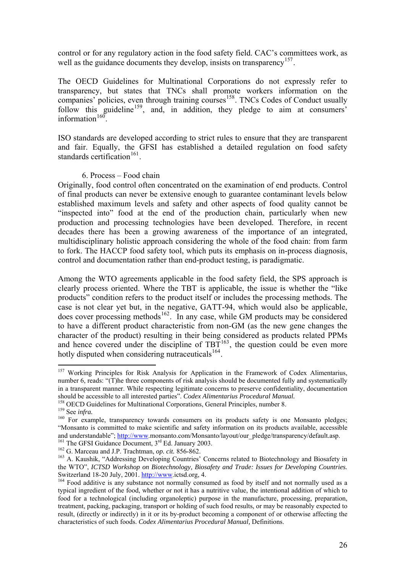control or for any regulatory action in the food safety field. CAC's committees work, as well as the guidance documents they develop, insists on transparency<sup>[157](#page-25-0)</sup>.

The OECD Guidelines for Multinational Corporations do not expressly refer to transparency, but states that TNCs shall promote workers information on the companies' policies, even through training courses<sup>[158](#page-25-1)</sup>. TNCs Codes of Conduct usually follow this guideline<sup>[159](#page-25-2)</sup>, and, in addition, they pledge to aim at consumers' information $160$ 

ISO standards are developed according to strict rules to ensure that they are transparent and fair. Equally, the GFSI has established a detailed regulation on food safety standards certification<sup>[161](#page-25-4)</sup>.

### 6. Process – Food chain

Originally, food control often concentrated on the examination of end products. Control of final products can never be extensive enough to guarantee contaminant levels below established maximum levels and safety and other aspects of food quality cannot be "inspected into" food at the end of the production chain, particularly when new production and processing technologies have been developed. Therefore, in recent decades there has been a growing awareness of the importance of an integrated, multidisciplinary holistic approach considering the whole of the food chain: from farm to fork. The HACCP food safety tool, which puts its emphasis on in-process diagnosis, control and documentation rather than end-product testing, is paradigmatic.

Among the WTO agreements applicable in the food safety field, the SPS approach is clearly process oriented. Where the TBT is applicable, the issue is whether the "like products" condition refers to the product itself or includes the processing methods. The case is not clear yet but, in the negative, GATT-94, which would also be applicable, does cover processing methods<sup>[162](#page-25-5)</sup>. In any case, while GM products may be considered to have a different product characteristic from non-GM (as the new gene changes the character of the product) resulting in their being considered as products related PPMs and hence covered under the discipline of  $TBT^{163}$  $TBT^{163}$  $TBT^{163}$ , the question could be even more hotly disputed when considering nutraceuticals $^{164}$  $^{164}$  $^{164}$ .

<span id="page-25-0"></span><sup>&</sup>lt;sup>157</sup> Working Principles for Risk Analysis for Application in the Framework of Codex Alimentarius, number 6, reads: "(T)he three components of risk analysis should be documented fully and systematically in a transparent manner. While respecting legitimate concerns to preserve confidentiality, documentation should be accessible to all interested parties". *Codex Alimentarius Procedural Manual.*<br><sup>158</sup> OECD Guidelines for Multinational Corporations, General Principles, number 8.<br><sup>159</sup> See *infra*.<br><sup>159</sup> For example, transparenc

<span id="page-25-1"></span>

<span id="page-25-3"></span><span id="page-25-2"></span><sup>&</sup>quot;Monsanto is committed to make scientific and safety information on its products available, accessible and understandable"; [http://www.](http://www/)monsanto.com/Monsanto/layout/our\_pledge/transparency/default.asp.<br><sup>161</sup> The GFSI Guidance Document, 3<sup>rd</sup> Ed. January 2003.<br><sup>162</sup> G. Marceau and J.P. Trachtman, *op. cit.* 856-862.<br><sup>163</sup> A.

<span id="page-25-5"></span><span id="page-25-4"></span>

<span id="page-25-6"></span>the WTO", *ICTSD Workshop on Biotechnology, Biosafety and Trade: Issues for Developing Countries.*

<span id="page-25-7"></span> $164$  Food additive is any substance not normally consumed as food by itself and not normally used as a typical ingredient of the food, whether or not it has a nutritive value, the intentional addition of which to food for a technological (including organoleptic) purpose in the manufacture, processing, preparation, treatment, packing, packaging, transport or holding of such food results, or may be reasonably expected to result, (directly or indirectly) in it or its by-product becoming a component of or otherwise affecting the characteristics of such foods. *Codex Alimentarius Procedural Manual,* Definitions.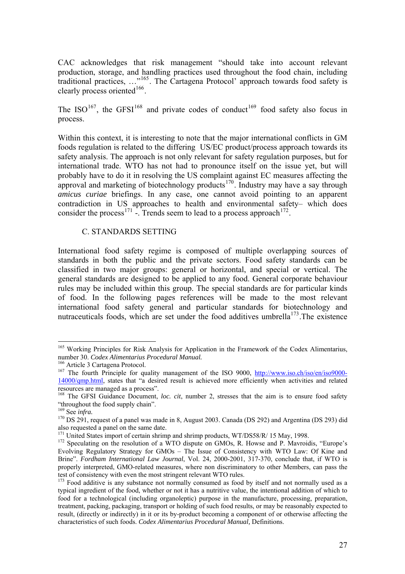CAC acknowledges that risk management "should take into account relevant production, storage, and handling practices used throughout the food chain, including traditional practices, …"[165](#page-26-0). The Cartagena Protocol' approach towards food safety is clearly process oriented<sup>[166](#page-26-1)</sup>.

The ISO<sup>[167](#page-26-2)</sup>, the GFSI<sup>[168](#page-26-3)</sup> and private codes of conduct<sup>169</sup> food safety also focus in process.

Within this context, it is interesting to note that the major international conflicts in GM foods regulation is related to the differing US/EC product/process approach towards its safety analysis. The approach is not only relevant for safety regulation purposes, but for international trade. WTO has not had to pronounce itself on the issue yet, but will probably have to do it in resolving the US complaint against EC measures affecting the approval and marketing of biotechnology products<sup>[170](#page-26-5)</sup>. Industry may have a say through *amicus curiae* briefings. In any case, one cannot avoid pointing to an apparent contradiction in US approaches to health and environmental safety– which does consider the process<sup>[171](#page-26-6)</sup> -. Trends seem to lead to a process approach<sup>[172](#page-26-7)</sup>.

### C. STANDARDS SETTING

International food safety regime is composed of multiple overlapping sources of standards in both the public and the private sectors. Food safety standards can be classified in two major groups: general or horizontal, and special or vertical. The general standards are designed to be applied to any food. General corporate behaviour rules may be included within this group. The special standards are for particular kinds of food. In the following pages references will be made to the most relevant international food safety general and particular standards for biotechnology and nutraceuticals foods, which are set under the food additives umbrella<sup>[173](#page-26-8)</sup>. The existence

<span id="page-26-0"></span><sup>&</sup>lt;sup>165</sup> Working Principles for Risk Analysis for Application in the Framework of the Codex Alimentarius, number 30. *Codex Alimentarius Procedural Manual*.

<span id="page-26-2"></span><span id="page-26-1"></span><sup>&</sup>lt;sup>166</sup> Article 3 Cartagena Protocol.<br><sup>167</sup> The fourth Principle for quality management of the ISO 9000, <u>[http://www.iso.ch/iso/en/iso9000-](http://www.iso.ch/iso/en/iso9000-14000/qmp.html)</u> [14000/qmp.html,](http://www.iso.ch/iso/en/iso9000-14000/qmp.html) states that "a desired result is achieved more efficiently when activities and related resources are managed as a process".

<span id="page-26-3"></span><sup>168</sup> The GFSI Guidance Document, *loc. cit*, number 2, stresses that the aim is to ensure food safety "throughout the food supply chain".<br> $169$  See *infra*.

<span id="page-26-5"></span><span id="page-26-4"></span><sup>&</sup>lt;sup>170</sup> DS 291, request of a panel was made in 8, August 2003. Canada (DS 292) and Argentina (DS 293) did also requested a panel on the same date.

<span id="page-26-7"></span><span id="page-26-6"></span><sup>&</sup>lt;sup>171</sup> United States import of certain shrimp and shrimp products, WT/DS58/R/ 15 May, 1998.<br><sup>172</sup> Speculating on the resolution of a WTO dispute on GMOs, R. Howse and P. Mavroidis, "Europe's Evolving Regulatory Strategy for GMOs – The Issue of Consistency with WTO Law: Of Kine and Brine". *Fordham International Law Journal*, Vol. 24, 2000-2001, 317-370, conclude that, if WTO is properly interpreted, GMO-related measures, where non discriminatory to other Members, can pass the test of consistency with even the most stringent relevant WTO rules.

<span id="page-26-8"></span><sup>&</sup>lt;sup>173</sup> Food additive is any substance not normally consumed as food by itself and not normally used as a typical ingredient of the food, whether or not it has a nutritive value, the intentional addition of which to food for a technological (including organoleptic) purpose in the manufacture, processing, preparation, treatment, packing, packaging, transport or holding of such food results, or may be reasonably expected to result, (directly or indirectly) in it or its by-product becoming a component of or otherwise affecting the characteristics of such foods. *Codex Alimentarius Procedural Manual,* Definitions.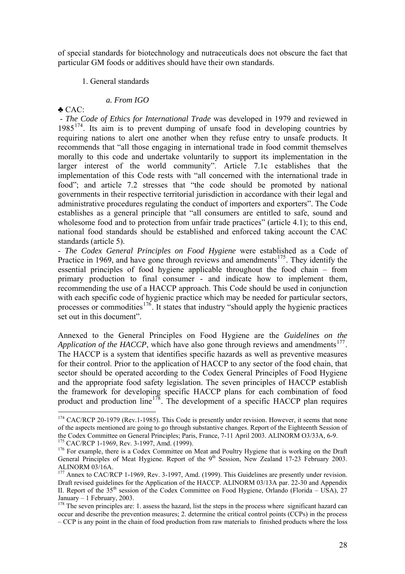of special standards for biotechnology and nutraceuticals does not obscure the fact that particular GM foods or additives should have their own standards.

### 1. General standards

## *a. From IGO*

♣ CAC:

 $\overline{a}$ 

 - *The Code of Ethics for International Trade* was developed in 1979 and reviewed in  $1985^{174}$  $1985^{174}$  $1985^{174}$ . Its aim is to prevent dumping of unsafe food in developing countries by requiring nations to alert one another when they refuse entry to unsafe products. It recommends that "all those engaging in international trade in food commit themselves morally to this code and undertake voluntarily to support its implementation in the larger interest of the world community". Article 7.1c establishes that the implementation of this Code rests with "all concerned with the international trade in food"; and article 7.2 stresses that "the code should be promoted by national governments in their respective territorial jurisdiction in accordance with their legal and administrative procedures regulating the conduct of importers and exporters". The Code establishes as a general principle that "all consumers are entitled to safe, sound and wholesome food and to protection from unfair trade practices" (article 4.1); to this end, national food standards should be established and enforced taking account the CAC standards (article 5).

- *The Codex General Principles on Food Hygiene* were established as a Code of Practice in 1969, and have gone through reviews and amendments<sup>[175](#page-27-1)</sup>. They identify the essential principles of food hygiene applicable throughout the food chain – from primary production to final consumer - and indicate how to implement them, recommending the use of a HACCP approach. This Code should be used in conjunction with each specific code of hygienic practice which may be needed for particular sectors, processes or commodities<sup>[176](#page-27-2)</sup>. It states that industry "should apply the hygienic practices" set out in this document".

Annexed to the General Principles on Food Hygiene are the *Guidelines on the Application of the HACCP*, which have also gone through reviews and amendments<sup>[177](#page-27-3)</sup>. The HACCP is a system that identifies specific hazards as well as preventive measures for their control. Prior to the application of HACCP to any sector of the food chain, that sector should be operated according to the Codex General Principles of Food Hygiene and the appropriate food safety legislation. The seven principles of HACCP establish the framework for developing specific HACCP plans for each combination of food product and production line<sup>[178](#page-27-4)</sup>. The development of a specific HACCP plan requires

<span id="page-27-0"></span><sup>&</sup>lt;sup>174</sup> CAC/RCP 20-1979 (Rev.1-1985). This Code is presently under revision. However, it seems that none of the aspects mentioned are going to go through substantive changes. Report of the Eighteenth Session of the Codex Committee on General Principles; Paris, France, 7-11 April 2003. ALINORM O3/33A, 6-9.<br><sup>175</sup> CAC/RCP 1-1969, Rev. 3-1997, Amd. (1999).

<span id="page-27-2"></span><span id="page-27-1"></span><sup>&</sup>lt;sup>176</sup> For example, there is a Codex Committee on Meat and Poultry Hygiene that is working on the Draft General Principles of Meat Hygiene. Report of the 9<sup>th</sup> Session, New Zealand 17-23 February 2003. ALINORM 03/16A.

<span id="page-27-3"></span><sup>&</sup>lt;sup>177</sup> Annex to CAC/RCP 1-1969, Rev. 3-1997, Amd. (1999). This Guidelines are presently under revision. Draft revised guidelines for the Application of the HACCP. ALINORM 03/13A par. 22-30 and Appendix II. Report of the 35<sup>th</sup> session of the Codex Committee on Food Hygiene, Orlando (Florida – USA), 27 January – 1 February, 2003.

<span id="page-27-4"></span><sup>&</sup>lt;sup>178</sup> The seven principles are: 1. assess the hazard, list the steps in the process where significant hazard can occur and describe the prevention measures; 2. determine the critical control points (CCPs) in the process – CCP is any point in the chain of food production from raw materials to finished products where the loss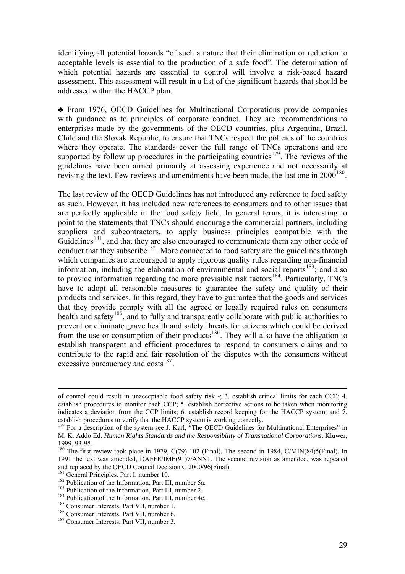identifying all potential hazards "of such a nature that their elimination or reduction to acceptable levels is essential to the production of a safe food". The determination of which potential hazards are essential to control will involve a risk-based hazard assessment. This assessment will result in a list of the significant hazards that should be addressed within the HACCP plan.

♣ From 1976, OECD Guidelines for Multinational Corporations provide companies with guidance as to principles of corporate conduct. They are recommendations to enterprises made by the governments of the OECD countries, plus Argentina, Brazil, Chile and the Slovak Republic, to ensure that TNCs respect the policies of the countries where they operate. The standards cover the full range of TNCs operations and are supported by follow up procedures in the participating countries<sup>[179](#page-28-0)</sup>. The reviews of the guidelines have been aimed primarily at assessing experience and not necessarily at revising the text. Few reviews and amendments have been made, the last one in  $2000^{180}$  $2000^{180}$  $2000^{180}$ .

The last review of the OECD Guidelines has not introduced any reference to food safety as such. However, it has included new references to consumers and to other issues that are perfectly applicable in the food safety field. In general terms, it is interesting to point to the statements that TNCs should encourage the commercial partners, including suppliers and subcontractors, to apply business principles compatible with the Guidelines<sup>[181](#page-28-2)</sup>, and that they are also encouraged to communicate them any other code of conduct that they subscribe<sup>[182](#page-28-3)</sup>. More connected to food safety are the guidelines through which companies are encouraged to apply rigorous quality rules regarding non-financial information, including the elaboration of environmental and social reports<sup>[183](#page-28-4)</sup>; and also to provide information regarding the more previsible risk factors<sup>[184](#page-28-5)</sup>. Particularly, TNCs have to adopt all reasonable measures to guarantee the safety and quality of their products and services. In this regard, they have to guarantee that the goods and services that they provide comply with all the agreed or legally required rules on consumers health and safety<sup>[185](#page-28-6)</sup>, and to fully and transparently collaborate with public authorities to prevent or eliminate grave health and safety threats for citizens which could be derived from the use or consumption of their products<sup>[186](#page-28-7)</sup>. They will also have the obligation to establish transparent and efficient procedures to respond to consumers claims and to contribute to the rapid and fair resolution of the disputes with the consumers without excessive bureaucracy and costs $^{187}$  $^{187}$  $^{187}$ .

of control could result in unacceptable food safety risk -; 3. establish critical limits for each CCP; 4. establish procedures to monitor each CCP; 5. establish corrective actions to be taken when monitoring indicates a deviation from the CCP limits; 6. establish record keeping for the HACCP system; and 7.

<span id="page-28-0"></span><sup>&</sup>lt;sup>179</sup> For a description of the system see J. Karl, "The OECD Guidelines for Multinational Enterprises" in M. K. Addo Ed. *Human Rights Standards and the Responsibility of Transnational Corporations*. Kluwer, 1999, 93-95.

<span id="page-28-1"></span> $180$  The first review took place in 1979, C(79) 102 (Final). The second in 1984, C/MIN(84)5(Final). In 1991 the text was amended, DAFFE/IME(91)7/ANN1. The second revision as amended, was repealed and replaced by the OECD Council Decision C 2000/96(Final).<br><sup>181</sup> General Principles, Part I, number 10.

<span id="page-28-2"></span>

<span id="page-28-3"></span><sup>&</sup>lt;sup>182</sup> Publication of the Information, Part III, number 5a.<br><sup>183</sup> Publication of the Information, Part III, number 2.<br><sup>184</sup> Publication of the Information, Part III, number 4e.<br><sup>185</sup> Consumer Interests, Part VII, number 1.

<span id="page-28-4"></span>

<span id="page-28-5"></span>

<span id="page-28-6"></span>

<span id="page-28-7"></span>

<span id="page-28-8"></span>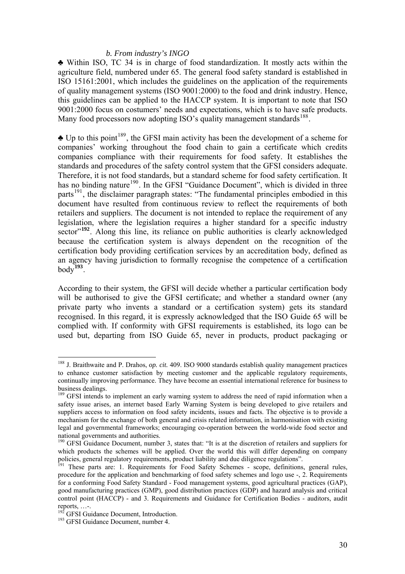#### *b. From industry's INGO*

♣ Within ISO, TC 34 is in charge of food standardization. It mostly acts within the agriculture field, numbered under 65. The general food safety standard is established in ISO 15161:2001, which includes the guidelines on the application of the requirements of quality management systems (ISO 9001:2000) to the food and drink industry. Hence, this guidelines can be applied to the HACCP system. It is important to note that ISO 9001:2000 focus on costumers' needs and expectations, which is to have safe products. Many food processors now adopting ISO's quality management standards<sup>[188](#page-29-0)</sup>.

 $\triangle$  Up to this point<sup>[189](#page-29-1)</sup>, the GFSI main activity has been the development of a scheme for companies' working throughout the food chain to gain a certificate which credits companies compliance with their requirements for food safety. It establishes the standards and procedures of the safety control system that the GFSI considers adequate. Therefore, it is not food standards, but a standard scheme for food safety certification. It has no binding nature<sup>[190](#page-29-2)</sup>. In the GFSI "Guidance Document", which is divided in three parts<sup>[191](#page-29-3)</sup>, the disclaimer paragraph states: "The fundamental principles embodied in this document have resulted from continuous review to reflect the requirements of both retailers and suppliers. The document is not intended to replace the requirement of any legislation, where the legislation requires a higher standard for a specific industry sector<sup>"[192](#page-29-4)</sup>. Along this line, its reliance on public authorities is clearly acknowledged because the certification system is always dependent on the recognition of the certification body providing certification services by an accreditation body, defined as an agency having jurisdiction to formally recognise the competence of a certification  $body^{193}$  $body^{193}$  $body^{193}$ .

According to their system, the GFSI will decide whether a particular certification body will be authorised to give the GFSI certificate; and whether a standard owner (any private party who invents a standard or a certification system) gets its standard recognised. In this regard, it is expressly acknowledged that the ISO Guide 65 will be complied with. If conformity with GFSI requirements is established, its logo can be used but, departing from ISO Guide 65, never in products, product packaging or

<span id="page-29-0"></span><sup>188</sup> J. Braithwaite and P. Drahos, *op. cit.* 409. ISO 9000 standards establish quality management practices to enhance customer satisfaction by meeting customer and the applicable regulatory requirements, continually improving performance. They have become an essential international reference for business to business dealings.

<span id="page-29-1"></span><sup>&</sup>lt;sup>189</sup> GFSI intends to implement an early warning system to address the need of rapid information when a safety issue arises, an internet based Early Warning System is being developed to give retailers and suppliers access to information on food safety incidents, issues and facts. The objective is to provide a mechanism for the exchange of both general and crisis related information, in harmonisation with existing legal and governmental frameworks; encouraging co-operation between the world-wide food sector and national governments and authorities.

<span id="page-29-2"></span><sup>&</sup>lt;sup>190</sup> GFSI Guidance Document, number 3, states that: "It is at the discretion of retailers and suppliers for which products the schemes will be applied. Over the world this will differ depending on company policies, general regulatory requirements, product liability and due diligence regulations".

<span id="page-29-3"></span>These parts are: 1. Requirements for Food Safety Schemes - scope, definitions, general rules, procedure for the application and benchmarking of food safety schemes and logo use -, 2. Requirements for a conforming Food Safety Standard - Food management systems, good agricultural practices (GAP), good manufacturing practices (GMP), good distribution practices (GDP) and hazard analysis and critical control point (HACCP) - and 3. Requirements and Guidance for Certification Bodies - auditors, audit reports, ...-.<br><sup>192</sup> GFSI Guidance Document, Introduction.

<span id="page-29-4"></span>

<span id="page-29-5"></span><sup>&</sup>lt;sup>193</sup> GFSI Guidance Document, number 4.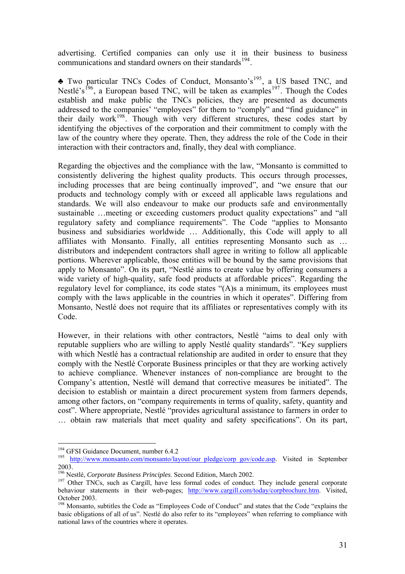advertising. Certified companies can only use it in their business to business communications and standard owners on their standards<sup>[194](#page-30-0)</sup>.

 $\triangle$  Two particular TNCs Codes of Conduct, Monsanto's<sup>[195](#page-30-1)</sup>, a US based TNC, and Nestlé's<sup>[196](#page-30-2)</sup>, a European based TNC, will be taken as examples<sup>[197](#page-30-3)</sup>. Though the Codes establish and make public the TNCs policies, they are presented as documents addressed to the companies' "employees" for them to "comply" and "find guidance" in their daily work $198$ . Though with very different structures, these codes start by identifying the objectives of the corporation and their commitment to comply with the law of the country where they operate. Then, they address the role of the Code in their interaction with their contractors and, finally, they deal with compliance.

Regarding the objectives and the compliance with the law, "Monsanto is committed to consistently delivering the highest quality products. This occurs through processes, including processes that are being continually improved", and "we ensure that our products and technology comply with or exceed all applicable laws regulations and standards. We will also endeavour to make our products safe and environmentally sustainable …meeting or exceeding customers product quality expectations" and "all regulatory safety and compliance requirements". The Code "applies to Monsanto business and subsidiaries worldwide … Additionally, this Code will apply to all affiliates with Monsanto. Finally, all entities representing Monsanto such as … distributors and independent contractors shall agree in writing to follow all applicable portions. Wherever applicable, those entities will be bound by the same provisions that apply to Monsanto". On its part, "Nestlé aims to create value by offering consumers a wide variety of high-quality, safe food products at affordable prices". Regarding the regulatory level for compliance, its code states "(A)s a minimum, its employees must comply with the laws applicable in the countries in which it operates". Differing from Monsanto, Nestlé does not require that its affiliates or representatives comply with its Code.

However, in their relations with other contractors, Nestlé "aims to deal only with reputable suppliers who are willing to apply Nestlé quality standards". "Key suppliers with which Nestlé has a contractual relationship are audited in order to ensure that they comply with the Nestlé Corporate Business principles or that they are working actively to achieve compliance. Whenever instances of non-compliance are brought to the Company's attention, Nestlé will demand that corrective measures be initiated". The decision to establish or maintain a direct procurement system from farmers depends, among other factors, on "company requirements in terms of quality, safety, quantity and cost". Where appropriate, Nestlé "provides agricultural assistance to farmers in order to … obtain raw materials that meet quality and safety specifications". On its part,

<span id="page-30-0"></span><sup>&</sup>lt;sup>194</sup> GFSI Guidance Document, number 6.4.2

<span id="page-30-1"></span><sup>195</sup> [http://www.monsanto.com/monsanto/layout/our\\_pledge/corp\\_gov/code.asp.](http://www.monsanto.com/monsanto/layout/our_pledge/corp_gov/code.asp) Visited in September 2003.<br><sup>196</sup> Nestlé, Corporate Business Principles. Second Edition, March 2002.

<span id="page-30-3"></span><span id="page-30-2"></span><sup>&</sup>lt;sup>197</sup> Other TNCs, such as Cargill, have less formal codes of conduct. They include general corporate behaviour statements in their web-pages; [http://www.cargill.com/today/corpbrochure.htm.](http://www.cargill.com/today/corpbrochure.htm) Visited, October 2003.

<span id="page-30-4"></span><sup>&</sup>lt;sup>198</sup> Monsanto, subtitles the Code as "Employees Code of Conduct" and states that the Code "explains the basic obligations of all of us". Nestlé do also refer to its "employees" when referring to compliance with national laws of the countries where it operates.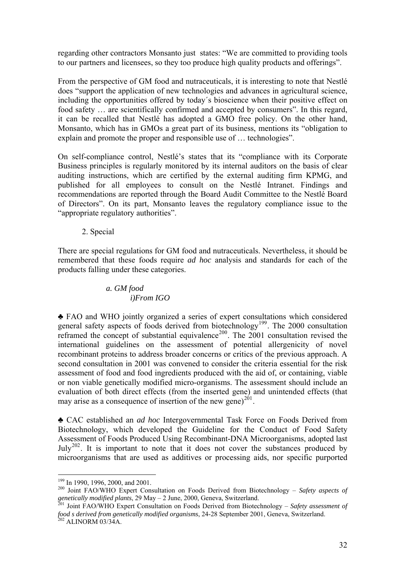regarding other contractors Monsanto just states: "We are committed to providing tools to our partners and licensees, so they too produce high quality products and offerings".

From the perspective of GM food and nutraceuticals, it is interesting to note that Nestlé does "support the application of new technologies and advances in agricultural science, including the opportunities offered by today´s bioscience when their positive effect on food safety … are scientifically confirmed and accepted by consumers". In this regard, it can be recalled that Nestlé has adopted a GMO free policy. On the other hand, Monsanto, which has in GMOs a great part of its business, mentions its "obligation to explain and promote the proper and responsible use of … technologies".

On self-compliance control, Nestlé's states that its "compliance with its Corporate Business principles is regularly monitored by its internal auditors on the basis of clear auditing instructions, which are certified by the external auditing firm KPMG, and published for all employees to consult on the Nestlé Intranet. Findings and recommendations are reported through the Board Audit Committee to the Nestlé Board of Directors". On its part, Monsanto leaves the regulatory compliance issue to the "appropriate regulatory authorities".

2. Special

There are special regulations for GM food and nutraceuticals. Nevertheless, it should be remembered that these foods require *ad hoc* analysis and standards for each of the products falling under these categories.

# *a. GM food i)From IGO*

♣ FAO and WHO jointly organized a series of expert consultations which considered general safety aspects of foods derived from biotechnology<sup>[199](#page-31-0)</sup>. The 2000 consultation reframed the concept of substantial equivalence<sup>[200](#page-31-1)</sup>. The 2001 consultation revised the international guidelines on the assessment of potential allergenicity of novel recombinant proteins to address broader concerns or critics of the previous approach. A second consultation in 2001 was convened to consider the criteria essential for the risk assessment of food and food ingredients produced with the aid of, or containing, viable or non viable genetically modified micro-organisms. The assessment should include an evaluation of both direct effects (from the inserted gene) and unintended effects (that may arise as a consequence of insertion of the new gene)<sup>[201](#page-31-2)</sup>.

♣ CAC established an *ad hoc* Intergovernmental Task Force on Foods Derived from Biotechnology, which developed the Guideline for the Conduct of Food Safety Assessment of Foods Produced Using Recombinant-DNA Microorganisms, adopted last  $July<sup>202</sup>$  $July<sup>202</sup>$  $July<sup>202</sup>$ . It is important to note that it does not cover the substances produced by microorganisms that are used as additives or processing aids, nor specific purported

 $199$  In 1990, 1996, 2000, and 2001.

<span id="page-31-1"></span><span id="page-31-0"></span><sup>&</sup>lt;sup>200</sup> Joint FAO/WHO Expert Consultation on Foods Derived from Biotechnology – Safety aspects of *genetically modified plants*, 29 May – 2 June, 2000, Geneva, Switzerland. 201 Joint FAO/WHO Expert Consultation on Foods Derived from Biotechnology – *Safety assessment of* 

<span id="page-31-3"></span><span id="page-31-2"></span>*food s derived from genetically modified organisms*, 24-28 September 2001, Geneva, Switzerland. 202 ALINORM 03/34A.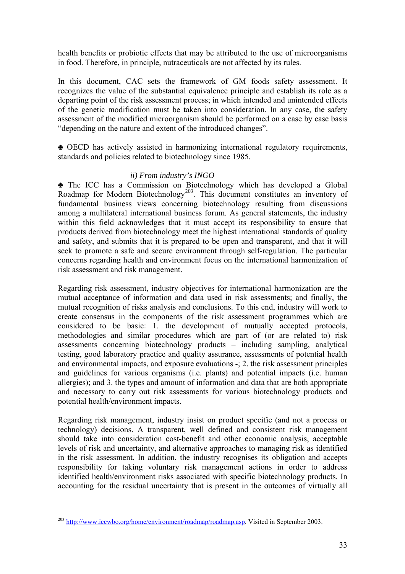health benefits or probiotic effects that may be attributed to the use of microorganisms in food. Therefore, in principle, nutraceuticals are not affected by its rules.

In this document, CAC sets the framework of GM foods safety assessment. It recognizes the value of the substantial equivalence principle and establish its role as a departing point of the risk assessment process; in which intended and unintended effects of the genetic modification must be taken into consideration. In any case, the safety assessment of the modified microorganism should be performed on a case by case basis "depending on the nature and extent of the introduced changes".

♣ OECD has actively assisted in harmonizing international regulatory requirements, standards and policies related to biotechnology since 1985.

# *ii) From industry's INGO*

♣ The ICC has a Commission on Biotechnology which has developed a Global Roadmap for Modern Biotechnology<sup>[203](#page-32-0)</sup>. This document constitutes an inventory of fundamental business views concerning biotechnology resulting from discussions among a multilateral international business forum. As general statements, the industry within this field acknowledges that it must accept its responsibility to ensure that products derived from biotechnology meet the highest international standards of quality and safety, and submits that it is prepared to be open and transparent, and that it will seek to promote a safe and secure environment through self-regulation. The particular concerns regarding health and environment focus on the international harmonization of risk assessment and risk management.

Regarding risk assessment, industry objectives for international harmonization are the mutual acceptance of information and data used in risk assessments; and finally, the mutual recognition of risks analysis and conclusions. To this end, industry will work to create consensus in the components of the risk assessment programmes which are considered to be basic: 1. the development of mutually accepted protocols, methodologies and similar procedures which are part of (or are related to) risk assessments concerning biotechnology products – including sampling, analytical testing, good laboratory practice and quality assurance, assessments of potential health and environmental impacts, and exposure evaluations -; 2. the risk assessment principles and guidelines for various organisms (i.e. plants) and potential impacts (i.e. human allergies); and 3. the types and amount of information and data that are both appropriate and necessary to carry out risk assessments for various biotechnology products and potential health/environment impacts.

Regarding risk management, industry insist on product specific (and not a process or technology) decisions. A transparent, well defined and consistent risk management should take into consideration cost-benefit and other economic analysis, acceptable levels of risk and uncertainty, and alternative approaches to managing risk as identified in the risk assessment. In addition, the industry recognises its obligation and accepts responsibility for taking voluntary risk management actions in order to address identified health/environment risks associated with specific biotechnology products. In accounting for the residual uncertainty that is present in the outcomes of virtually all

<span id="page-32-0"></span><sup>&</sup>lt;sup>203</sup> [http://www.iccwbo.org/home/environment/roadmap/roadmap.asp.](http://www.iccwbo.org/home/environment/roadmap/roadmap.asp) Visited in September 2003.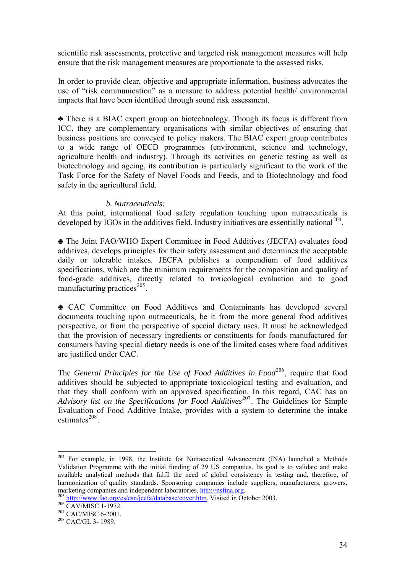scientific risk assessments, protective and targeted risk management measures will help ensure that the risk management measures are proportionate to the assessed risks.

In order to provide clear, objective and appropriate information, business advocates the use of "risk communication" as a measure to address potential health/ environmental impacts that have been identified through sound risk assessment.

♣ There is a BIAC expert group on biotechnology. Though its focus is different from ICC, they are complementary organisations with similar objectives of ensuring that business positions are conveyed to policy makers. The BIAC expert group contributes to a wide range of OECD programmes (environment, science and technology, agriculture health and industry). Through its activities on genetic testing as well as biotechnology and ageing, its contribution is particularly significant to the work of the Task Force for the Safety of Novel Foods and Feeds, and to Biotechnology and food safety in the agricultural field.

### *b. Nutraceuticals:*

At this point, international food safety regulation touching upon nutraceuticals is developed by  $IGOs$  in the additives field. Industry initiatives are essentially national<sup>[204](#page-33-0)</sup>.

♣ The Joint FAO/WHO Expert Committee in Food Additives (JECFA) evaluates food additives, develops principles for their safety assessment and determines the acceptable daily or tolerable intakes. JECFA publishes a compendium of food additives specifications, which are the minimum requirements for the composition and quality of food-grade additives, directly related to toxicological evaluation and to good manufacturing practices $^{205}$  $^{205}$  $^{205}$ .

♣ CAC Committee on Food Additives and Contaminants has developed several documents touching upon nutraceuticals, be it from the more general food additives perspective, or from the perspective of special dietary uses. It must be acknowledged that the provision of necessary ingredients or constituents for foods manufactured for consumers having special dietary needs is one of the limited cases where food additives are justified under CAC.

The *General Principles for the Use of Food Additives in Food*<sup>[206](#page-33-2)</sup>, require that food additives should be subjected to appropriate toxicological testing and evaluation, and that they shall conform with an approved specification. In this regard, CAC has an *Advisory list on the Specifications for Food Additives*<sup>[207](#page-33-3)</sup>. The Guidelines for Simple Evaluation of Food Additive Intake, provides with a system to determine the intake estimates $^{208}$  $^{208}$  $^{208}$ .

<span id="page-33-0"></span> $204$  For example, in 1998, the Institute for Nutraceutical Advancement (INA) launched a Methods Validation Programme with the initial funding of 29 US companies. Its goal is to validate and make available analytical methods that fulfil the need of global consistency in testing and, therefore, of harmonization of quality standards. Sponsoring companies include suppliers, manufacturers, growers, marketing companies and independent laboratories. [http://nsfina.org](http://nsfina.org/).<br>
<sup>205</sup> [http://www.fao.org/es/esn/jecfa/database/cover.htm.](http://www.fao.org/es/esn/jecfa/database/cover.htm) Visited in October 2003.<br>
<sup>206</sup> CAV/MISC 1-1972.<br>
<sup>207</sup> CAC/MISC 6-2001.<br>
<sup>208</sup> CAC/GL 3- 1989

<span id="page-33-1"></span>

<span id="page-33-2"></span>

<span id="page-33-3"></span>

<span id="page-33-4"></span>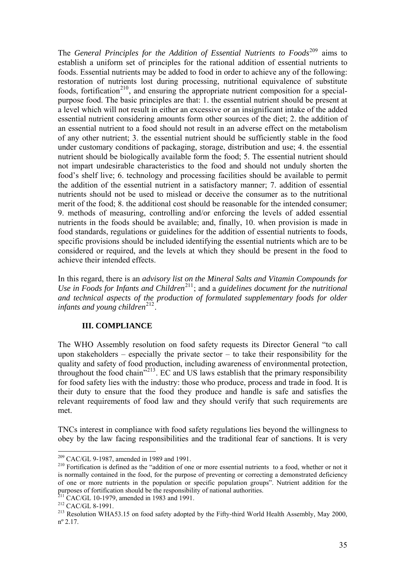The *General Principles for the Addition of Essential Nutrients to Foods*[209](#page-34-0) aims to establish a uniform set of principles for the rational addition of essential nutrients to foods. Essential nutrients may be added to food in order to achieve any of the following: restoration of nutrients lost during processing, nutritional equivalence of substitute foods, fortification<sup>[210](#page-34-1)</sup>, and ensuring the appropriate nutrient composition for a specialpurpose food. The basic principles are that: 1. the essential nutrient should be present at a level which will not result in either an excessive or an insignificant intake of the added essential nutrient considering amounts form other sources of the diet; 2. the addition of an essential nutrient to a food should not result in an adverse effect on the metabolism of any other nutrient; 3. the essential nutrient should be sufficiently stable in the food under customary conditions of packaging, storage, distribution and use; 4. the essential nutrient should be biologically available form the food; 5. The essential nutrient should not impart undesirable characteristics to the food and should not unduly shorten the food's shelf live; 6. technology and processing facilities should be available to permit the addition of the essential nutrient in a satisfactory manner; 7. addition of essential nutrients should not be used to mislead or deceive the consumer as to the nutritional merit of the food; 8. the additional cost should be reasonable for the intended consumer; 9. methods of measuring, controlling and/or enforcing the levels of added essential nutrients in the foods should be available; and, finally, 10. when provision is made in food standards, regulations or guidelines for the addition of essential nutrients to foods, specific provisions should be included identifying the essential nutrients which are to be considered or required, and the levels at which they should be present in the food to achieve their intended effects.

In this regard, there is an *advisory list on the Mineral Salts and Vitamin Compounds for Use in Foods for Infants and Children*<sup>[211](#page-34-2)</sup>; and a *guidelines document for the nutritional and technical aspects of the production of formulated supplementary foods for older infants and young children*<sup>[212](#page-34-3)</sup>.

# **III. COMPLIANCE**

The WHO Assembly resolution on food safety requests its Director General "to call upon stakeholders – especially the private sector – to take their responsibility for the quality and safety of food production, including awareness of environmental protection, throughout the food chain<sup> $213$ </sup>. EC and US laws establish that the primary responsibility for food safety lies with the industry: those who produce, process and trade in food. It is their duty to ensure that the food they produce and handle is safe and satisfies the relevant requirements of food law and they should verify that such requirements are met.

TNCs interest in compliance with food safety regulations lies beyond the willingness to obey by the law facing responsibilities and the traditional fear of sanctions. It is very

<span id="page-34-2"></span>

<span id="page-34-0"></span> $209$  CAC/GL 9-1987, amended in 1989 and 1991.

<span id="page-34-1"></span><sup>&</sup>lt;sup>210</sup> Fortification is defined as the "addition of one or more essential nutrients to a food, whether or not it is normally contained in the food, for the purpose of preventing or correcting a demonstrated deficiency of one or more nutrients in the population or specific population groups". Nutrient addition for the purposes of fortification should be the responsibility of national authorities.<br><sup>211</sup> CAC/GL 10-1979, amended in 1983 and 1991.

<span id="page-34-4"></span><span id="page-34-3"></span><sup>&</sup>lt;sup>212</sup> CAC/GL 8-1991.<br><sup>213</sup> Resolution WHA53.15 on food safety adopted by the Fifty-third World Health Assembly, May 2000, nº 2.17.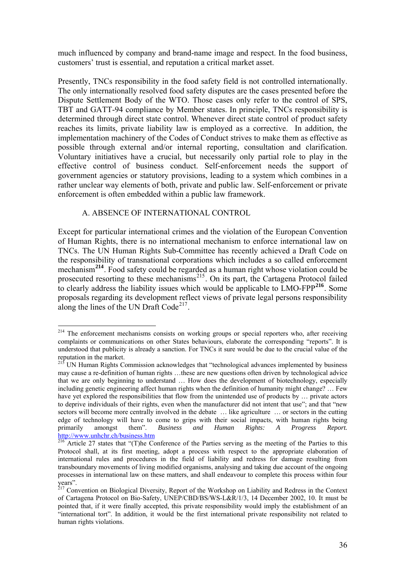much influenced by company and brand-name image and respect. In the food business, customers' trust is essential, and reputation a critical market asset.

Presently, TNCs responsibility in the food safety field is not controlled internationally. The only internationally resolved food safety disputes are the cases presented before the Dispute Settlement Body of the WTO. Those cases only refer to the control of SPS, TBT and GATT-94 compliance by Member states. In principle, TNCs responsibility is determined through direct state control. Whenever direct state control of product safety reaches its limits, private liability law is employed as a corrective. In addition, the implementation machinery of the Codes of Conduct strives to make them as effective as possible through external and/or internal reporting, consultation and clarification. Voluntary initiatives have a crucial, but necessarily only partial role to play in the effective control of business conduct. Self-enforcement needs the support of government agencies or statutory provisions, leading to a system which combines in a rather unclear way elements of both, private and public law. Self-enforcement or private enforcement is often embedded within a public law framework.

## A. ABSENCE OF INTERNATIONAL CONTROL

Except for particular international crimes and the violation of the European Convention of Human Rights, there is no international mechanism to enforce international law on TNCs. The UN Human Rights Sub-Committee has recently achieved a Draft Code on the responsibility of transnational corporations which includes a so called enforcement mechanism**[214](#page-35-0)**. Food safety could be regarded as a human right whose violation could be prosecuted resorting to these mechanisms<sup>[215](#page-35-1)</sup>. On its part, the Cartagena Protocol failed to clearly address the liability issues which would be applicable to LMO-FPP**[216](#page-35-2)**. Some proposals regarding its development reflect views of private legal persons responsibility along the lines of the UN Draft  $Code<sup>217</sup>$  $Code<sup>217</sup>$  $Code<sup>217</sup>$ .

<span id="page-35-0"></span> $\overline{a}$ <sup>214</sup> The enforcement mechanisms consists on working groups or special reporters who, after receiving complaints or communications on other States behaviours, elaborate the corresponding "reports". It is understood that publicity is already a sanction. For TNCs it sure would be due to the crucial value of the reputation in the market.

<span id="page-35-1"></span><sup>&</sup>lt;sup>215</sup> UN Human Rights Commission acknowledges that "technological advances implemented by business may cause a re-definition of human rights …these are new questions often driven by technological advice that we are only beginning to understand … How does the development of biotechnology, especially including genetic engineering affect human rights when the definition of humanity might change? … Few have yet explored the responsibilities that flow from the unintended use of products by ... private actors to deprive individuals of their rights, even when the manufacturer did not intent that use"; and that "new sectors will become more centrally involved in the debate ... like agriculture ... or sectors in the cutting edge of technology will have to come to grips with their social impacts, with human rights being primarily amongst them". *Business and Human Rights: A Progress Report.*  http://www.unhchr.ch/business.htm<br><sup>216</sup> Article 27 states that "(T)he Conference of the Parties serving as the meeting of the Parties to this

<span id="page-35-2"></span>Protocol shall, at its first meeting, adopt a process with respect to the appropriate elaboration of international rules and procedures in the field of liability and redress for damage resulting from transboundary movements of living modified organisms, analysing and taking due account of the ongoing processes in international law on these matters, and shall endeavour to complete this process within four years".

<span id="page-35-3"></span><sup>&</sup>lt;sup>217</sup> Convention on Biological Diversity, Report of the Workshop on Liability and Redress in the Context of Cartagena Protocol on Bio-Safety, UNEP/CBD/BS/WS-L&R/1/3, 14 December 2002, 10. It must be pointed that, if it were finally accepted, this private responsibility would imply the establishment of an "international tort". In addition, it would be the first international private responsibility not related to human rights violations.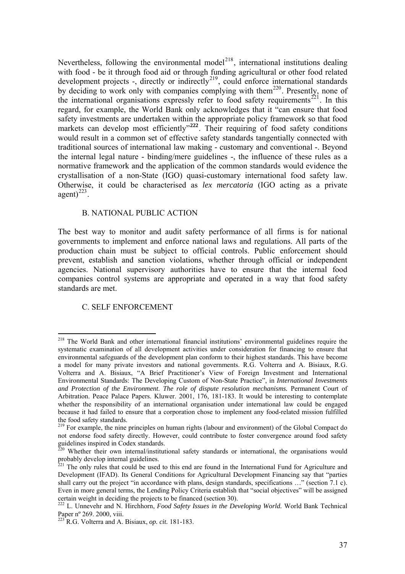Nevertheless, following the environmental model<sup>[218](#page-36-0)</sup>, international institutions dealing with food - be it through food aid or through funding agricultural or other food related development projects -, directly or indirectly<sup>[219](#page-36-1)</sup>, could enforce international standards by deciding to work only with companies complying with them<sup>[220](#page-36-2)</sup>. Presently, none of the international organisations expressly refer to food safety requirements<sup>[221](#page-36-3)</sup>. In this regard, for example, the World Bank only acknowledges that it "can ensure that food safety investments are undertaken within the appropriate policy framework so that food markets can develop most efficiently<sup>"[222](#page-36-4)</sup>. Their requiring of food safety conditions would result in a common set of effective safety standards tangentially connected with traditional sources of international law making - customary and conventional -. Beyond the internal legal nature - binding/mere guidelines -, the influence of these rules as a normative framework and the application of the common standards would evidence the crystallisation of a non-State (IGO) quasi-customary international food safety law. Otherwise, it could be characterised as *lex mercatoria* (IGO acting as a private  $a$ gent $)^{223}$ .

#### B. NATIONAL PUBLIC ACTION

companies control systems are appropriate and operated in a way that food safety standards are met. The best way to monitor and audit safety performance of all firms is for national governments to implement and enforce national laws and regulations. All parts of the production chain must be subject to official controls. Public enforcement should prevent, establish and sanction violations, whether through official or independent agencies. National supervisory authorities have to ensure that the internal food

#### C. SELF ENFORCEMENT

<span id="page-36-0"></span><sup>&</sup>lt;sup>218</sup> The World Bank and other international financial institutions' environmental guidelines require the systematic examination of all development activities under consideration for financing to ensure that environmental safeguards of the development plan conform to their highest standards. This have become a model for many private investors and national governments. R.G. Volterra and A. Bisiaux, R.G. Volterra and A. Bisiaux, "A Brief Practitioner's View of Foreign Investment and International Environmental Standards: The Developing Custom of Non-State Practice", in *International Investments and Protection of the Environment*. *The role of dispute resolution mechanisms.* Permanent Court of Arbitration. Peace Palace Papers. Kluwer. 2001, 176, 181-183. It would be interesting to contemplate whether the responsibility of an international organisation under international law could be engaged because it had failed to ensure that a corporation chose to implement any food-related mission fulfilled the food safety standards.

<span id="page-36-1"></span><sup>&</sup>lt;sup>219</sup> For example, the nine principles on human rights (labour and environment) of the Global Compact do not endorse food safety directly. However, could contribute to foster convergence around food safety guidelines inspired in Codex standards.

<span id="page-36-2"></span> $^{220}$  Whether their own internal/institutional safety standards or international, the organisations would probably develop internal guidelines.

<span id="page-36-3"></span> $221$  The only rules that could be used to this end are found in the International Fund for Agriculture and Development (IFAD). Its General Conditions for Agricultural Development Financing say that "parties shall carry out the project "in accordance with plans, design standards, specifications …" (section 7.1 c). Even in more general terms, the Lending Policy Criteria establish that "social objectives" will be assigned

<span id="page-36-4"></span><sup>&</sup>lt;sup>222</sup> L. Unnevehr and N. Hirchhorn, *Food Safety Issues in the Developing World*. World Bank Technical Paper nº 269. 2000, viii.

<sup>223</sup> R.G. Volterra and A. Bisiaux, *op. cit.* 181-183.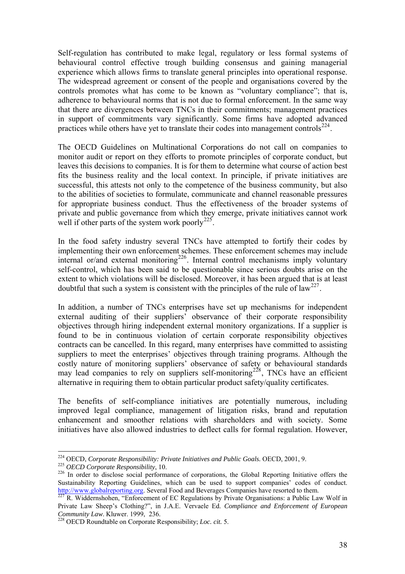Self-regulation has contributed to make legal, regulatory or less formal systems of behavioural control effective trough building consensus and gaining managerial experience which allows firms to translate general principles into operational response. The widespread agreement or consent of the people and organisations covered by the controls promotes what has come to be known as "voluntary compliance"; that is, adherence to behavioural norms that is not due to formal enforcement. In the same way that there are divergences between TNCs in their commitments; management practices in support of commitments vary significantly. Some firms have adopted advanced practices while others have yet to translate their codes into management controls $^{224}$  $^{224}$  $^{224}$ .

The OECD Guidelines on Multinational Corporations do not call on companies to monitor audit or report on they efforts to promote principles of corporate conduct, but leaves this decisions to companies. It is for them to determine what course of action best fits the business reality and the local context. In principle, if private initiatives are successful, this attests not only to the competence of the business community, but also to the abilities of societies to formulate, communicate and channel reasonable pressures for appropriate business conduct. Thus the effectiveness of the broader systems of private and public governance from which they emerge, private initiatives cannot work well if other parts of the system work poorly<sup>[225](#page-37-1)</sup>.

In the food safety industry several TNCs have attempted to fortify their codes by implementing their own enforcement schemes. These enforcement schemes may include internal or/and external monitoring<sup>[226](#page-37-2)</sup>. Internal control mechanisms imply voluntary self-control, which has been said to be questionable since serious doubts arise on the extent to which violations will be disclosed. Moreover, it has been argued that is at least doubtful that such a system is consistent with the principles of the rule of law<sup>[227](#page-37-3)</sup>.

In addition, a number of TNCs enterprises have set up mechanisms for independent external auditing of their suppliers' observance of their corporate responsibility objectives through hiring independent external monitory organizations. If a supplier is found to be in continuous violation of certain corporate responsibility objectives contracts can be cancelled. In this regard, many enterprises have committed to assisting suppliers to meet the enterprises' objectives through training programs. Although the costly nature of monitoring suppliers' observance of safety or behavioural standards may lead companies to rely on suppliers self-monitoring<sup>[228](#page-37-4)</sup>, TNCs have an efficient alternative in requiring them to obtain particular product safety/quality certificates.

The benefits of self-compliance initiatives are potentially numerous, including improved legal compliance, management of litigation risks, brand and reputation enhancement and smoother relations with shareholders and with society. Some initiatives have also allowed industries to deflect calls for formal regulation. However,

<sup>&</sup>lt;sup>224</sup> OECD, Corporate Responsibility: Private Initiatives and Public Goals. OECD, 2001, 9.

<span id="page-37-2"></span><span id="page-37-1"></span><span id="page-37-0"></span><sup>225</sup> *OECD Corporate Responsibility*, 10.<br><sup>226</sup> In order to disclose social performance of corporations, the Global Reporting Initiative offers the Sustainability Reporting Guidelines, which can be used to support companies' codes of conduct. [http://www.globalreporting.org.](http://www.globalreporting.org/) Several Food and Beverages Companies have resorted to them.<br><sup>[227](http://www.globalreporting.org/)</sup> R. Widdernshohen, "Enforcement of EC Regulations by Private Organisations: a Public Law Wolf in

<span id="page-37-3"></span>Private Law Sheep's Clothing?", in J.A.E. Vervaele Ed. *Compliance and Enforcement of European Community Law.* Kluwer. 1999, 236. <sup>228</sup> OECD Roundtable on Corporate Responsibility; *Loc. cit.* 5.

<span id="page-37-4"></span>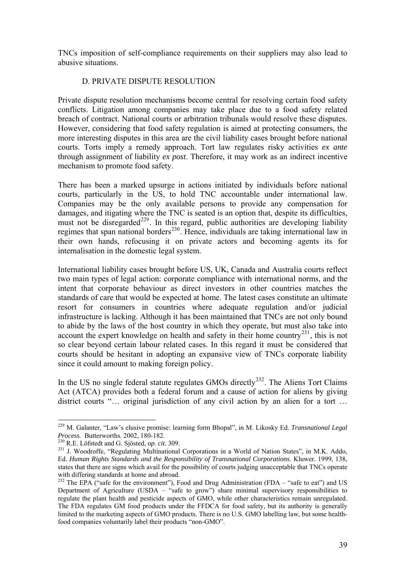TNCs imposition of self-compliance requirements on their suppliers may also lead to abusive situations.

## D. PRIVATE DISPUTE RESOLUTION

Private dispute resolution mechanisms become central for resolving certain food safety conflicts. Litigation among companies may take place due to a food safety related breach of contract. National courts or arbitration tribunals would resolve these disputes. However, considering that food safety regulation is aimed at protecting consumers, the more interesting disputes in this area are the civil liability cases brought before national courts. Torts imply a remedy approach. Tort law regulates risky activities *ex ante* through assignment of liability *ex post*. Therefore, it may work as an indirect incentive mechanism to promote food safety.

There has been a marked upsurge in actions initiated by individuals before national courts, particularly in the US, to hold TNC accountable under international law. Companies may be the only available persons to provide any compensation for damages, and itigating where the TNC is seated is an option that, despite its difficulties, must not be disregarded<sup>[229](#page-38-0)</sup>. In this regard, public authorities are developing liability regimes that span national borders<sup>[230](#page-38-1)</sup>. Hence, individuals are taking international law in their own hands, refocusing it on private actors and becoming agents its for internalisation in the domestic legal system.

International liability cases brought before US, UK, Canada and Australia courts reflect two main types of legal action: corporate compliance with international norms, and the intent that corporate behaviour as direct investors in other countries matches the standards of care that would be expected at home. The latest cases constitute an ultimate resort for consumers in countries where adequate regulation and/or judicial infrastructure is lacking. Although it has been maintained that TNCs are not only bound to abide by the laws of the host country in which they operate, but must also take into account the expert knowledge on health and safety in their home country<sup>[231](#page-38-2)</sup>, this is not so clear beyond certain labour related cases. In this regard it must be considered that courts should be hesitant in adopting an expansive view of TNCs corporate liability since it could amount to making foreign policy.

In the US no single federal statute regulates GMOs directly<sup>[232](#page-38-3)</sup>. The Aliens Tort Claims Act (ATCA) provides both a federal forum and a cause of action for aliens by giving district courts "... original jurisdiction of any civil action by an alien for a tort ...

<span id="page-38-0"></span><sup>229</sup> M. Galanter, "Law's elusive promise: learning form Bhopal", in M. Likosky Ed. *Transnational Legal* 

<span id="page-38-2"></span><span id="page-38-1"></span>

<sup>&</sup>lt;sup>230</sup> R.E. Löfstedt and G. Sjösted, *op. cit.* 309.<br><sup>231</sup> J. Woodroffe, "Regulating Multinational Corporations in a World of Nation States", in M.K. Addo, Ed. *Human Rights Standards and the Responsibility of Transnational Corporations*. Kluwer. 1999, 138, states that there are signs which avail for the possibility of courts judging unacceptable that TNCs operate with differing standards at home and abroad.

<span id="page-38-3"></span><sup>&</sup>lt;sup>232</sup> The EPA ("safe for the environment"), Food and Drug Administration (FDA – "safe to eat") and US Department of Agriculture (USDA – "safe to grow") share minimal supervisory responsibilities to regulate the plant health and pesticide aspects of GMO, while other characteristics remain unregulated. The FDA regulates GM food products under the FFDCA for food safety, but its authority is generally limited to the marketing aspects of GMO products. There is no U.S. GMO labelling law, but some healthfood companies voluntarily label their products "non-GMO".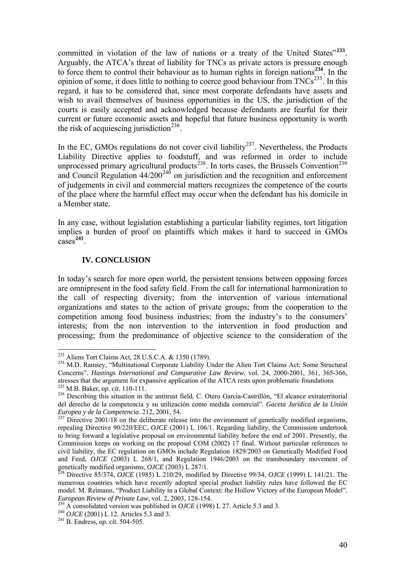committed in violation of the law of nations or a treaty of the United States"**[233](#page-39-0)**. Arguably, the ATCA's threat of liability for TNCs as private actors is pressure enough to force them to control their behaviour as to human rights in foreign nations**[234](#page-39-1)**. In the opinion of some, it does little to nothing to coerce good behaviour from  $TNCs^{235}$  $TNCs^{235}$  $TNCs^{235}$ . In this regard, it has to be considered that, since most corporate defendants have assets and wish to avail themselves of business opportunities in the US, the jurisdiction of the courts is easily accepted and acknowledged because defendants are fearful for their current or future economic assets and hopeful that future business opportunity is worth the risk of acquiescing jurisdiction<sup>[236](#page-39-3)</sup>.

In the EC, GMOs regulations do not cover civil liability<sup>[237](#page-39-4)</sup>. Nevertheless, the Products Liability Directive applies to foodstuff, and was reformed in order to include unprocessed primary agricultural products<sup>[238](#page-39-5)</sup>. In torts cases, the Brussels Convention<sup>[239](#page-39-6)</sup> and Council Regulation  $44/200^{240}$  $44/200^{240}$  $44/200^{240}$  on jurisdiction and the recognition and enforcement of judgements in civil and commercial matters recognizes the competence of the courts of the place where the harmful effect may occur when the defendant has his domicile in a Member state.

In any case, without legislation establishing a particular liability regimes, tort litigation implies a burden of proof on plaintiffs which makes it hard to succeed in GMOs cases**[241](#page-39-8)**.

## **IV. CONCLUSION**

 $\overline{a}$ 

In today's search for more open world, the persistent tensions between opposing forces are omnipresent in the food safety field. From the call for international harmonization to the call of respecting diversity; from the intervention of various international organizations and states to the action of private groups; from the cooperation to the competition among food business industries; from the industry's to the consumers' interests; from the non intervention to the intervention in food production and processing; from the predominance of objective science to the consideration of the

<span id="page-39-1"></span><span id="page-39-0"></span><sup>&</sup>lt;sup>233</sup> Aliens Tort Claims Act, 28 U.S.C.A.  $\&$  1350 (1789).<br><sup>234</sup> M.D. Ramsey, "Multinational Corporate Liability Under the Alien Tort Claims Act: Some Structural Concerns". *Hastings International and Comparative Law Review.* vol. 24, 2000-2001, 361, 365-366, stresses that the argument for expansive application of the ATCA rests upon problematic foundations  $^{235}$  M.B. Baker, *op. cit.* 110-111.

<span id="page-39-3"></span><span id="page-39-2"></span><sup>&</sup>lt;sup>236</sup> Describing this situation in the antitrust field, C. Otero García-Castrillón, "El alcance extraterritorial del derecho de la competencia y su utilización como medida comercial". *Gaceta Jurídica de la Unión* 

<span id="page-39-4"></span>*Europea y de la Competencia*. 212, 2001, 54.<br><sup>237</sup> Directive 2001/18 on the deliberate release into the environment of genetically modified organisms, repealing Directive 90/220/EEC, *OJCE* (2001) L 106/1. Regarding liability, the Commission undertook to bring forward a legislative proposal on environmental liability before the end of 2001. Presently, the Commission keeps on working on the proposal COM (2002) 17 final. Without particular references to civil liability, the EC regulation on GMOs include Regulation 1829/2003 on Genetically Modified Food and Feed, *OJCE* (2003) L 268/1, and Regulation 1946/2003 on the transboundary movement of genetically modified organisms, *OJCE* (2003) L 287/1. 238 Directive 85/374, *OJCE* (1985) L 210/29, modified by Directive 99/34, *OJCE* (1999) L 141/21. The

<span id="page-39-5"></span>numerous countries which have recently adopted special product liability rules have followed the EC model. M. Reimann, "Product Liability in a Global Context: the Hollow Victory of the European Model".

<span id="page-39-6"></span>European Review of Private Law, vol. 2, 2003, 128-154.<br><sup>239</sup> A consolidated version was published in *OJCE* (1998) L 27. Article 5.3 and 3.<br><sup>240</sup> *OJCE* (2001) L 12. Articles 5.3 and 3.<br><sup>241</sup> B. Endress, *op. cit.* 504-50

<span id="page-39-7"></span>

<span id="page-39-8"></span>